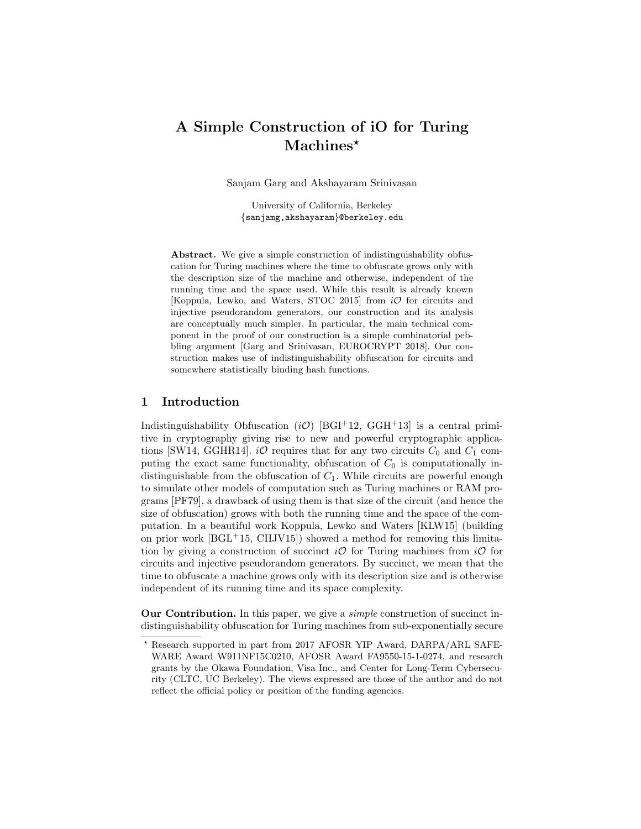# A Simple Construction of iO for Turing Machines<sup>\*</sup>

Sanjam Garg and Akshayaram Srinivasan

University of California, Berkeley {sanjamg,akshayaram}@berkeley.edu

Abstract. We give a simple construction of indistinguishability obfuscation for Turing machines where the time to obfuscate grows only with the description size of the machine and otherwise, independent of the running time and the space used. While this result is already known [Koppula, Lewko, and Waters, STOC 2015] from  $i\mathcal{O}$  for circuits and injective pseudorandom generators, our construction and its analysis are conceptually much simpler. In particular, the main technical component in the proof of our construction is a simple combinatorial pebbling argument [Garg and Srinivasan, EUROCRYPT 2018]. Our construction makes use of indistinguishability obfuscation for circuits and somewhere statistically binding hash functions.

### 1 Introduction

Indistinguishability Obfuscation  $(i\mathcal{O})$  [BGI+12, GGH+13] is a central primitive in cryptography giving rise to new and powerful cryptographic applications [SW14, GGHR14].  $i\mathcal{O}$  requires that for any two circuits  $C_0$  and  $C_1$  computing the exact same functionality, obfuscation of  $C_0$  is computationally indistinguishable from the obfuscation of  $C_1$ . While circuits are powerful enough to simulate other models of computation such as Turing machines or RAM programs [PF79], a drawback of using them is that size of the circuit (and hence the size of obfuscation) grows with both the running time and the space of the computation. In a beautiful work Koppula, Lewko and Waters [KLW15] (building on prior work  $[BGL^{+}15, CHJV15]$  showed a method for removing this limitation by giving a construction of succinct  $i\mathcal{O}$  for Turing machines from  $i\mathcal{O}$  for circuits and injective pseudorandom generators. By succinct, we mean that the time to obfuscate a machine grows only with its description size and is otherwise independent of its running time and its space complexity.

Our Contribution. In this paper, we give a simple construction of succinct indistinguishability obfuscation for Turing machines from sub-exponentially secure

Research supported in part from 2017 AFOSR YIP Award, DARPA/ARL SAFE-WARE Award W911NF15C0210, AFOSR Award FA9550-15-1-0274, and research grants by the Okawa Foundation, Visa Inc., and Center for Long-Term Cybersecurity (CLTC, UC Berkeley). The views expressed are those of the author and do not reflect the official policy or position of the funding agencies.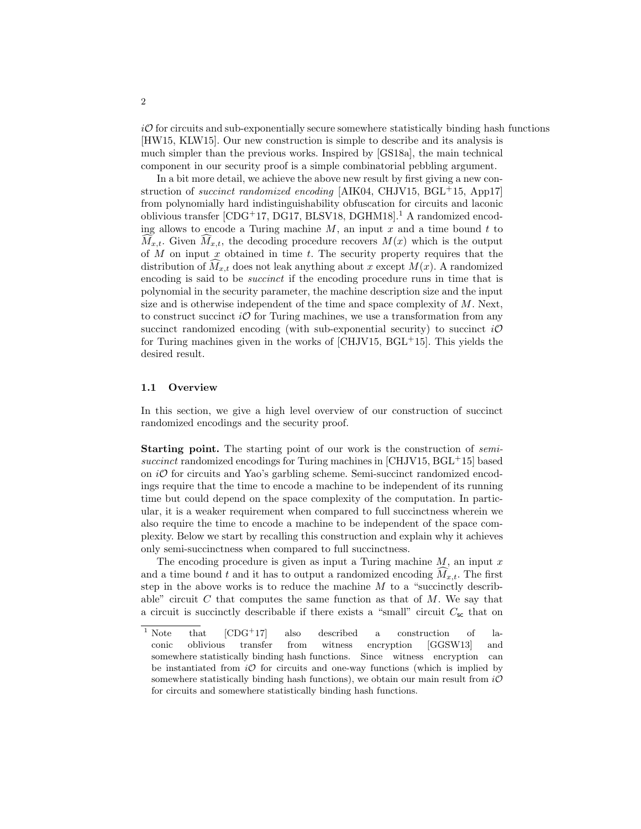$i\mathcal{O}$  for circuits and sub-exponentially secure somewhere statistically binding hash functions [HW15, KLW15]. Our new construction is simple to describe and its analysis is much simpler than the previous works. Inspired by [GS18a], the main technical component in our security proof is a simple combinatorial pebbling argument.

In a bit more detail, we achieve the above new result by first giving a new construction of *succinct randomized encoding* [AIK04, CHJV15, BGL<sup>+</sup>15, App17] from polynomially hard indistinguishability obfuscation for circuits and laconic oblivious transfer  $[CDG+17, DG17, BLSV18, DGHM18].<sup>1</sup>$  A randomized encoding allows to encode a Turing machine  $M$ , an input  $x$  and a time bound  $t$  to  $\widehat{M}_{x,t}$ . Given  $\widehat{M}_{x,t}$ , the decoding procedure recovers  $M(x)$  which is the output of  $M$  on input  $x$  obtained in time  $t$ . The security property requires that the distribution of  $M_{x,t}$  does not leak anything about x except  $M(x)$ . A randomized encoding is said to be succinct if the encoding procedure runs in time that is polynomial in the security parameter, the machine description size and the input size and is otherwise independent of the time and space complexity of  $M$ . Next, to construct succinct  $i\mathcal{O}$  for Turing machines, we use a transformation from any succinct randomized encoding (with sub-exponential security) to succinct  $i\mathcal{O}$ for Turing machines given in the works of  $[CHJV15, BGL<sup>+</sup>15]$ . This yields the desired result.

### 1.1 Overview

In this section, we give a high level overview of our construction of succinct randomized encodings and the security proof.

Starting point. The starting point of our work is the construction of *semi*succinct randomized encodings for Turing machines in  $[CHJV15, BGL+15]$  based on  $i\mathcal{O}$  for circuits and Yao's garbling scheme. Semi-succinct randomized encodings require that the time to encode a machine to be independent of its running time but could depend on the space complexity of the computation. In particular, it is a weaker requirement when compared to full succinctness wherein we also require the time to encode a machine to be independent of the space complexity. Below we start by recalling this construction and explain why it achieves only semi-succinctness when compared to full succinctness.

The encoding procedure is given as input a Turing machine  $M$ , an input  $x$ and a time bound t and it has to output a randomized encoding  $M_{x,t}$ . The first step in the above works is to reduce the machine  $M$  to a "succinctly describable" circuit C that computes the same function as that of  $M$ . We say that a circuit is succinctly describable if there exists a "small" circuit  $C_{\rm sc}$  that on

 $\frac{1}{1}$  Note that  $\left[\text{CDG}^+\text{17}\right]$  also described a construction of laconic oblivious transfer from witness encryption [GGSW13] and somewhere statistically binding hash functions. Since witness encryption can be instantiated from  $i\mathcal{O}$  for circuits and one-way functions (which is implied by somewhere statistically binding hash functions), we obtain our main result from  $i\mathcal{O}$ for circuits and somewhere statistically binding hash functions.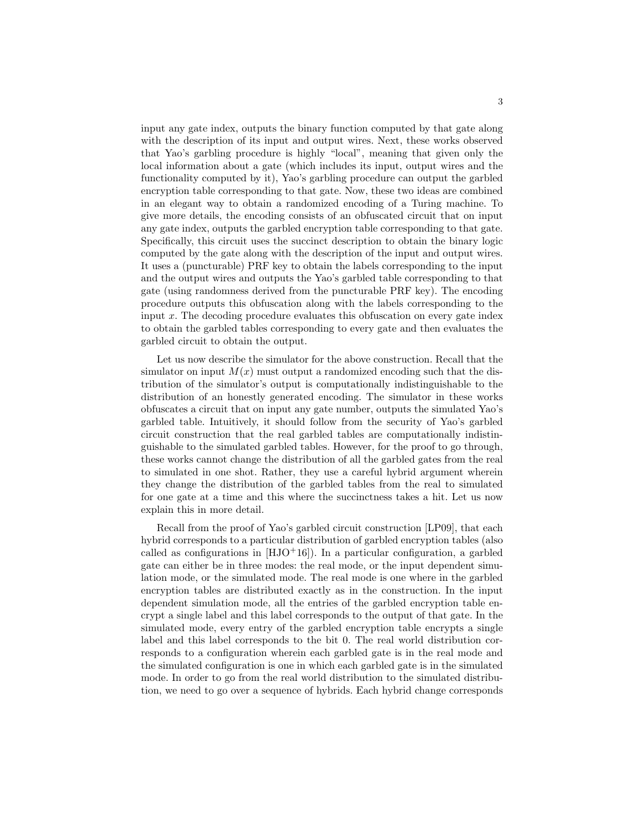input any gate index, outputs the binary function computed by that gate along with the description of its input and output wires. Next, these works observed that Yao's garbling procedure is highly "local", meaning that given only the local information about a gate (which includes its input, output wires and the functionality computed by it), Yao's garbling procedure can output the garbled encryption table corresponding to that gate. Now, these two ideas are combined in an elegant way to obtain a randomized encoding of a Turing machine. To give more details, the encoding consists of an obfuscated circuit that on input any gate index, outputs the garbled encryption table corresponding to that gate. Specifically, this circuit uses the succinct description to obtain the binary logic computed by the gate along with the description of the input and output wires. It uses a (puncturable) PRF key to obtain the labels corresponding to the input and the output wires and outputs the Yao's garbled table corresponding to that gate (using randomness derived from the puncturable PRF key). The encoding procedure outputs this obfuscation along with the labels corresponding to the input  $x$ . The decoding procedure evaluates this obfuscation on every gate index to obtain the garbled tables corresponding to every gate and then evaluates the garbled circuit to obtain the output.

Let us now describe the simulator for the above construction. Recall that the simulator on input  $M(x)$  must output a randomized encoding such that the distribution of the simulator's output is computationally indistinguishable to the distribution of an honestly generated encoding. The simulator in these works obfuscates a circuit that on input any gate number, outputs the simulated Yao's garbled table. Intuitively, it should follow from the security of Yao's garbled circuit construction that the real garbled tables are computationally indistinguishable to the simulated garbled tables. However, for the proof to go through, these works cannot change the distribution of all the garbled gates from the real to simulated in one shot. Rather, they use a careful hybrid argument wherein they change the distribution of the garbled tables from the real to simulated for one gate at a time and this where the succinctness takes a hit. Let us now explain this in more detail.

Recall from the proof of Yao's garbled circuit construction [LP09], that each hybrid corresponds to a particular distribution of garbled encryption tables (also called as configurations in  $[HJO+16]$ ). In a particular configuration, a garbled gate can either be in three modes: the real mode, or the input dependent simulation mode, or the simulated mode. The real mode is one where in the garbled encryption tables are distributed exactly as in the construction. In the input dependent simulation mode, all the entries of the garbled encryption table encrypt a single label and this label corresponds to the output of that gate. In the simulated mode, every entry of the garbled encryption table encrypts a single label and this label corresponds to the bit 0. The real world distribution corresponds to a configuration wherein each garbled gate is in the real mode and the simulated configuration is one in which each garbled gate is in the simulated mode. In order to go from the real world distribution to the simulated distribution, we need to go over a sequence of hybrids. Each hybrid change corresponds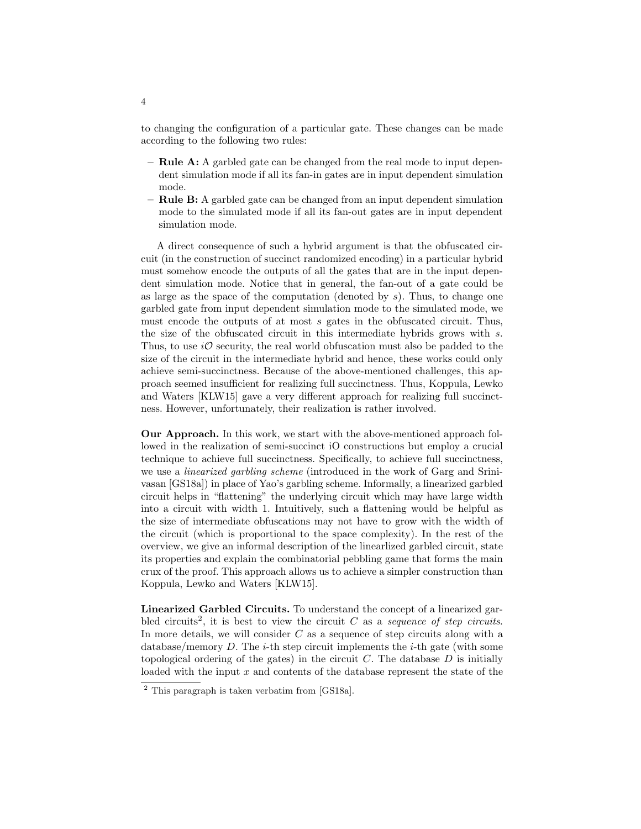to changing the configuration of a particular gate. These changes can be made according to the following two rules:

- Rule A: A garbled gate can be changed from the real mode to input dependent simulation mode if all its fan-in gates are in input dependent simulation mode.
- $-$  **Rule B:** A garbled gate can be changed from an input dependent simulation mode to the simulated mode if all its fan-out gates are in input dependent simulation mode.

A direct consequence of such a hybrid argument is that the obfuscated circuit (in the construction of succinct randomized encoding) in a particular hybrid must somehow encode the outputs of all the gates that are in the input dependent simulation mode. Notice that in general, the fan-out of a gate could be as large as the space of the computation (denoted by  $s$ ). Thus, to change one garbled gate from input dependent simulation mode to the simulated mode, we must encode the outputs of at most s gates in the obfuscated circuit. Thus, the size of the obfuscated circuit in this intermediate hybrids grows with s. Thus, to use  $i\mathcal{O}$  security, the real world obfuscation must also be padded to the size of the circuit in the intermediate hybrid and hence, these works could only achieve semi-succinctness. Because of the above-mentioned challenges, this approach seemed insufficient for realizing full succinctness. Thus, Koppula, Lewko and Waters [KLW15] gave a very different approach for realizing full succinctness. However, unfortunately, their realization is rather involved.

Our Approach. In this work, we start with the above-mentioned approach followed in the realization of semi-succinct iO constructions but employ a crucial technique to achieve full succinctness. Specifically, to achieve full succinctness, we use a linearized garbling scheme (introduced in the work of Garg and Srinivasan [GS18a]) in place of Yao's garbling scheme. Informally, a linearized garbled circuit helps in "flattening" the underlying circuit which may have large width into a circuit with width 1. Intuitively, such a flattening would be helpful as the size of intermediate obfuscations may not have to grow with the width of the circuit (which is proportional to the space complexity). In the rest of the overview, we give an informal description of the linearlized garbled circuit, state its properties and explain the combinatorial pebbling game that forms the main crux of the proof. This approach allows us to achieve a simpler construction than Koppula, Lewko and Waters [KLW15].

Linearized Garbled Circuits. To understand the concept of a linearized garbled circuits<sup>2</sup>, it is best to view the circuit C as a sequence of step circuits. In more details, we will consider  $C$  as a sequence of step circuits along with a database/memory  $D$ . The *i*-th step circuit implements the *i*-th gate (with some topological ordering of the gates) in the circuit  $C$ . The database  $D$  is initially loaded with the input  $x$  and contents of the database represent the state of the

<sup>2</sup> This paragraph is taken verbatim from [GS18a].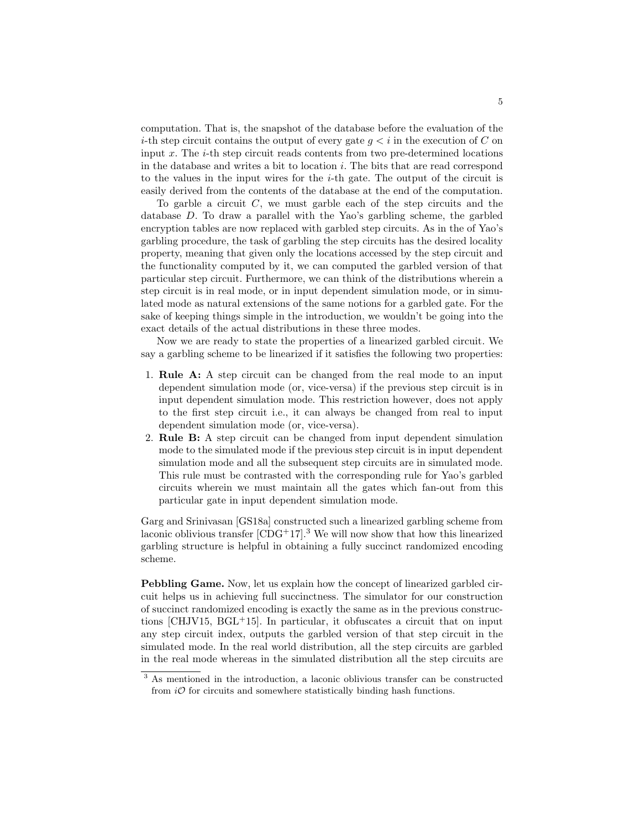computation. That is, the snapshot of the database before the evaluation of the i-th step circuit contains the output of every gate  $q < i$  in the execution of C on input  $x$ . The  $i$ -th step circuit reads contents from two pre-determined locations in the database and writes a bit to location  $i$ . The bits that are read correspond to the values in the input wires for the  $i$ -th gate. The output of the circuit is easily derived from the contents of the database at the end of the computation.

To garble a circuit  $C$ , we must garble each of the step circuits and the database D. To draw a parallel with the Yao's garbling scheme, the garbled encryption tables are now replaced with garbled step circuits. As in the of Yao's garbling procedure, the task of garbling the step circuits has the desired locality property, meaning that given only the locations accessed by the step circuit and the functionality computed by it, we can computed the garbled version of that particular step circuit. Furthermore, we can think of the distributions wherein a step circuit is in real mode, or in input dependent simulation mode, or in simulated mode as natural extensions of the same notions for a garbled gate. For the sake of keeping things simple in the introduction, we wouldn't be going into the exact details of the actual distributions in these three modes.

Now we are ready to state the properties of a linearized garbled circuit. We say a garbling scheme to be linearized if it satisfies the following two properties:

- 1. Rule A: A step circuit can be changed from the real mode to an input dependent simulation mode (or, vice-versa) if the previous step circuit is in input dependent simulation mode. This restriction however, does not apply to the first step circuit i.e., it can always be changed from real to input dependent simulation mode (or, vice-versa).
- 2. Rule B: A step circuit can be changed from input dependent simulation mode to the simulated mode if the previous step circuit is in input dependent simulation mode and all the subsequent step circuits are in simulated mode. This rule must be contrasted with the corresponding rule for Yao's garbled circuits wherein we must maintain all the gates which fan-out from this particular gate in input dependent simulation mode.

Garg and Srinivasan [GS18a] constructed such a linearized garbling scheme from laconic oblivious transfer  $[CDG^+17]^3$  We will now show that how this linearized garbling structure is helpful in obtaining a fully succinct randomized encoding scheme.

Pebbling Game. Now, let us explain how the concept of linearized garbled circuit helps us in achieving full succinctness. The simulator for our construction of succinct randomized encoding is exactly the same as in the previous constructions  $\left[CHJVI5, BGL+15\right]$ . In particular, it obfuscates a circuit that on input any step circuit index, outputs the garbled version of that step circuit in the simulated mode. In the real world distribution, all the step circuits are garbled in the real mode whereas in the simulated distribution all the step circuits are

<sup>&</sup>lt;sup>3</sup> As mentioned in the introduction, a laconic oblivious transfer can be constructed from  $i\mathcal{O}$  for circuits and somewhere statistically binding hash functions.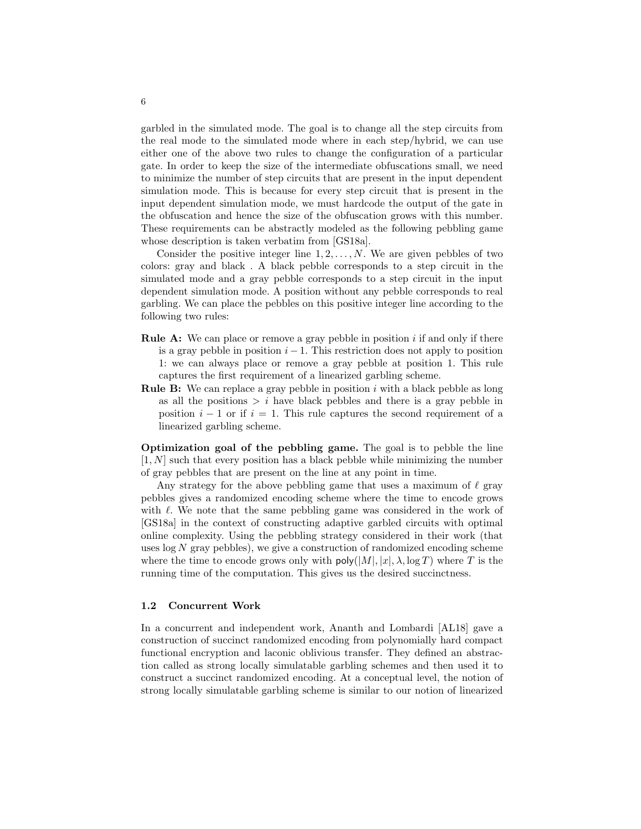garbled in the simulated mode. The goal is to change all the step circuits from the real mode to the simulated mode where in each step/hybrid, we can use either one of the above two rules to change the configuration of a particular gate. In order to keep the size of the intermediate obfuscations small, we need to minimize the number of step circuits that are present in the input dependent simulation mode. This is because for every step circuit that is present in the input dependent simulation mode, we must hardcode the output of the gate in the obfuscation and hence the size of the obfuscation grows with this number. These requirements can be abstractly modeled as the following pebbling game whose description is taken verbatim from [GS18a].

Consider the positive integer line  $1, 2, \ldots, N$ . We are given pebbles of two colors: gray and black . A black pebble corresponds to a step circuit in the simulated mode and a gray pebble corresponds to a step circuit in the input dependent simulation mode. A position without any pebble corresponds to real garbling. We can place the pebbles on this positive integer line according to the following two rules:

- **Rule A:** We can place or remove a gray pebble in position  $i$  if and only if there is a gray pebble in position  $i - 1$ . This restriction does not apply to position 1: we can always place or remove a gray pebble at position 1. This rule captures the first requirement of a linearized garbling scheme.
- **Rule B:** We can replace a gray pebble in position i with a black pebble as long as all the positions  $\geq i$  have black pebbles and there is a gray pebble in position  $i - 1$  or if  $i = 1$ . This rule captures the second requirement of a linearized garbling scheme.

Optimization goal of the pebbling game. The goal is to pebble the line  $[1, N]$  such that every position has a black pebble while minimizing the number of gray pebbles that are present on the line at any point in time.

Any strategy for the above pebbling game that uses a maximum of  $\ell$  gray pebbles gives a randomized encoding scheme where the time to encode grows with  $\ell$ . We note that the same pebbling game was considered in the work of [GS18a] in the context of constructing adaptive garbled circuits with optimal online complexity. Using the pebbling strategy considered in their work (that uses  $\log N$  gray pebbles), we give a construction of randomized encoding scheme where the time to encode grows only with  $\mathsf{poly}(|M|, |x|, \lambda, \log T)$  where T is the running time of the computation. This gives us the desired succinctness.

### 1.2 Concurrent Work

In a concurrent and independent work, Ananth and Lombardi [AL18] gave a construction of succinct randomized encoding from polynomially hard compact functional encryption and laconic oblivious transfer. They defined an abstraction called as strong locally simulatable garbling schemes and then used it to construct a succinct randomized encoding. At a conceptual level, the notion of strong locally simulatable garbling scheme is similar to our notion of linearized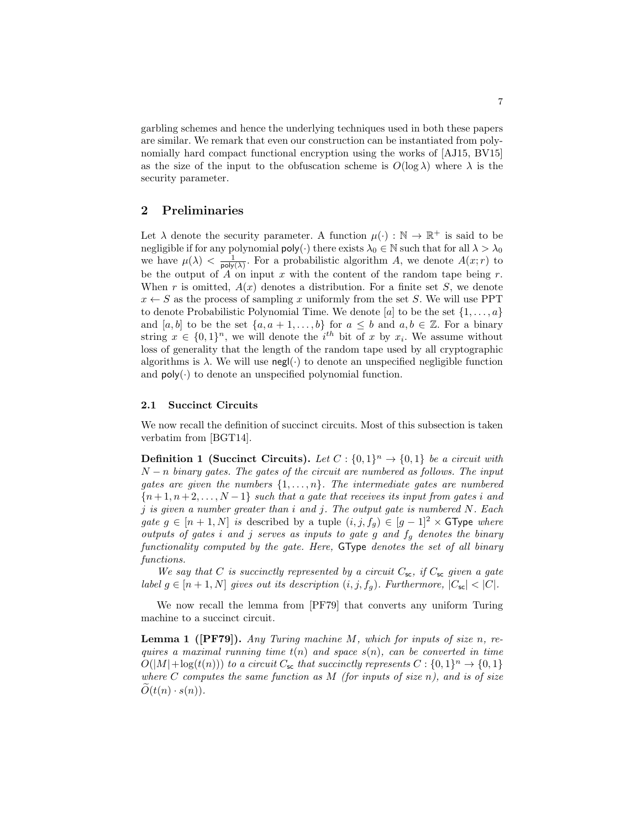garbling schemes and hence the underlying techniques used in both these papers are similar. We remark that even our construction can be instantiated from polynomially hard compact functional encryption using the works of [AJ15, BV15] as the size of the input to the obfuscation scheme is  $O(\log \lambda)$  where  $\lambda$  is the security parameter.

# 2 Preliminaries

Let  $\lambda$  denote the security parameter. A function  $\mu(\cdot): \mathbb{N} \to \mathbb{R}^+$  is said to be negligible if for any polynomial  $\mathsf{poly}(\cdot)$  there exists  $\lambda_0 \in \mathbb{N}$  such that for all  $\lambda > \lambda_0$ we have  $\mu(\lambda) < \frac{1}{\text{poly}(\lambda)}$ . For a probabilistic algorithm A, we denote  $A(x; r)$  to be the output of  $A$  on input  $x$  with the content of the random tape being  $r$ . When r is omitted,  $A(x)$  denotes a distribution. For a finite set S, we denote  $x \leftarrow S$  as the process of sampling x uniformly from the set S. We will use PPT to denote Probabilistic Polynomial Time. We denote [a] to be the set  $\{1,\ldots,a\}$ and [a, b] to be the set  $\{a, a + 1, \ldots, b\}$  for  $a \leq b$  and  $a, b \in \mathbb{Z}$ . For a binary string  $x \in \{0,1\}^n$ , we will denote the  $i^{th}$  bit of x by  $x_i$ . We assume without loss of generality that the length of the random tape used by all cryptographic algorithms is  $\lambda$ . We will use negl( $\cdot$ ) to denote an unspecified negligible function and  $\text{poly}(\cdot)$  to denote an unspecified polynomial function.

### 2.1 Succinct Circuits

We now recall the definition of succinct circuits. Most of this subsection is taken verbatim from [BGT14].

**Definition 1 (Succinct Circuits).** Let  $C: \{0,1\}^n \rightarrow \{0,1\}$  be a circuit with  $N - n$  binary gates. The gates of the circuit are numbered as follows. The input gates are given the numbers  $\{1, \ldots, n\}$ . The intermediate gates are numbered  ${n+1, n+2, \ldots, N-1}$  such that a gate that receives its input from gates i and  $j$  is given a number greater than  $i$  and  $j$ . The output gate is numbered  $N$ . Each gate  $g \in [n+1, N]$  is described by a tuple  $(i, j, f_q) \in [g-1]^2 \times \text{GType}$  where outputs of gates i and j serves as inputs to gate g and  $f<sub>g</sub>$  denotes the binary functionality computed by the gate. Here, GType denotes the set of all binary functions.

We say that C is succinctly represented by a circuit  $C_{\text{sc}}$ , if  $C_{\text{sc}}$  given a gate label  $g \in [n+1, N]$  gives out its description  $(i, j, f_q)$ . Furthermore,  $|C_{\mathsf{sc}}| < |C|$ .

We now recall the lemma from [PF79] that converts any uniform Turing machine to a succinct circuit.

**Lemma 1 ([PF79]).** Any Turing machine M, which for inputs of size n, requires a maximal running time  $t(n)$  and space  $s(n)$ , can be converted in time  $O(|M| + \log(t(n)))$  to a circuit  $C_{\text{sc}}$  that succinctly represents  $C: \{0,1\}^n \to \{0,1\}$ where C computes the same function as M (for inputs of size n), and is of size  $\tilde{O}(t(n) \cdot s(n)).$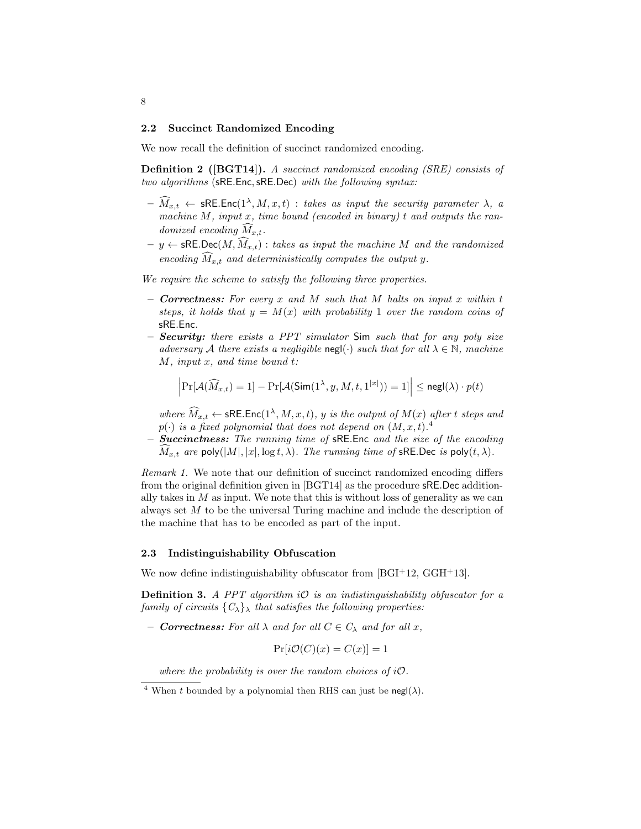#### 2.2 Succinct Randomized Encoding

We now recall the definition of succinct randomized encoding.

Definition 2 ([BGT14]). A succinct randomized encoding (SRE) consists of two algorithms (sRE.Enc, sRE.Dec) with the following syntax:

- $-\widehat{M}_{x,t} \leftarrow \textsf{sREEnc}(1^{\lambda}, M, x, t)$  : takes as input the security parameter  $\lambda$ , a machine  $M$ , input  $x$ , time bound (encoded in binary)  $t$  and outputs the randomized encoding  $\tilde{M}_{x,t}$ .
- $y \leftarrow sRE.Dec(M, \widehat{M}_{x,t})$ : takes as input the machine M and the randomized encoding  $\widehat{M}_{x,t}$  and deterministically computes the output y.

We require the scheme to satisfy the following three properties.

- $-$  Correctness: For every x and M such that M halts on input x within t steps, it holds that  $y = M(x)$  with probability 1 over the random coins of sRE.Enc.
- $-$  **Security:** there exists a PPT simulator  $\text{Sim}$  such that for any poly size adversary A there exists a negligible negl( $\cdot$ ) such that for all  $\lambda \in \mathbb{N}$ , machine  $M$ , input  $x$ , and time bound  $t$ :

$$
\left|\Pr[\mathcal{A}(\widehat{M}_{x,t})=1]-\Pr[\mathcal{A}(\mathsf{Sim}(1^{\lambda},y,M,t,1^{|x|}))=1]\right|\leq \mathsf{negl}(\lambda)\cdot p(t)
$$

where  $\widehat{M}_{x,t} \leftarrow$  sRE.Enc(1<sup> $\lambda$ </sup>, *M*, *x*, *t*), *y* is the output of  $M(x)$  after t steps and  $p(\cdot)$  is a fixed polynomial that does not depend on  $(M, x, t)$ .

 $-$  Succinctness: The running time of sRE. Enc and the size of the encoding  $M_{x,t}$  are poly(|M|, |x|, log t,  $\lambda$ ). The running time of sRE.Dec is poly(t,  $\lambda$ ).

Remark 1. We note that our definition of succinct randomized encoding differs from the original definition given in [BGT14] as the procedure sRE.Dec additionally takes in  $M$  as input. We note that this is without loss of generality as we can always set M to be the universal Turing machine and include the description of the machine that has to be encoded as part of the input.

### 2.3 Indistinguishability Obfuscation

We now define indistinguishability obfuscator from  $[{\rm B}GI^+12, {\rm G}GH^+13]$ .

**Definition 3.** A PPT algorithm  $iO$  is an indistinguishability obfuscator for a family of circuits  ${C_{\lambda}}_{\lambda}$  that satisfies the following properties:

– **Correctness:** For all  $\lambda$  and for all  $C \in C_{\lambda}$  and for all x,

$$
Pr[i\mathcal{O}(C)(x) = C(x)] = 1
$$

where the probability is over the random choices of  $i\mathcal{O}$ .

<sup>&</sup>lt;sup>4</sup> When t bounded by a polynomial then RHS can just be negl( $\lambda$ ).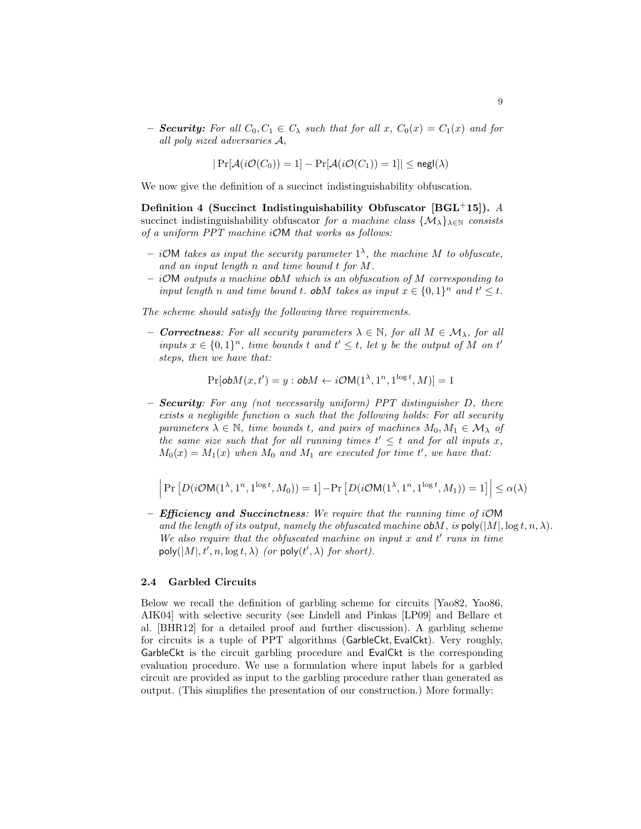$-$  Security: For all  $C_0, C_1 \in C_\lambda$  such that for all x,  $C_0(x) = C_1(x)$  and for all poly sized adversaries A,

$$
|\Pr[\mathcal{A}(i\mathcal{O}(C_0)) = 1] - \Pr[\mathcal{A}(i\mathcal{O}(C_1)) = 1]| \le \mathsf{negl}(\lambda)
$$

We now give the definition of a succinct indistinguishability obfuscation.

Definition 4 (Succinct Indistinguishability Obfuscator [BGL+15]). A succinct indistinguishability obfuscator for a machine class  $\{\mathcal{M}_{\lambda}\}_{\lambda\in\mathbb{N}}$  consists of a uniform PPT machine iOM that works as follows:

- $i \mathcal{O} \mathsf{M}$  takes as input the security parameter  $1^{\lambda}$ , the machine M to obfuscate, and an input length n and time bound t for M.
- $i \mathcal{O}$ M outputs a machine **ob**M which is an obfuscation of M corresponding to input length n and time bound t. **ob**M takes as input  $x \in \{0,1\}^n$  and  $t' \leq t$ .

The scheme should satisfy the following three requirements.

– **Correctness**: For all security parameters  $\lambda \in \mathbb{N}$ , for all  $M \in \mathcal{M}_{\lambda}$ , for all inputs  $x \in \{0,1\}^n$ , time bounds t and  $t' \leq t$ , let y be the output of M on t' steps, then we have that:

$$
Pr[obM(x, t') = y : obM \leftarrow iOM(1^{\lambda}, 1^n, 1^{\log t}, M)] = 1
$$

 $-$  Security: For any (not necessarily uniform) PPT distinguisher  $D$ , there exists a negligible function  $\alpha$  such that the following holds: For all security parameters  $\lambda \in \mathbb{N}$ , time bounds t, and pairs of machines  $M_0, M_1 \in \mathcal{M}_{\lambda}$  of the same size such that for all running times  $t' \leq t$  and for all inputs x,  $M_0(x) = M_1(x)$  when  $M_0$  and  $M_1$  are executed for time t', we have that:

$$
\left| \Pr \left[ D(i\mathcal{O}M(1^{\lambda}, 1^n, 1^{\log t}, M_0)) = 1 \right] - \Pr \left[ D(i\mathcal{O}M(1^{\lambda}, 1^n, 1^{\log t}, M_1)) = 1 \right] \right| \leq \alpha(\lambda)
$$

– Efficiency and Succinctness: We require that the running time of  $i$ OM and the length of its output, namely the obfuscated machine  $obM$ , is  $poly(|M|, \log t, n, \lambda)$ . We also require that the obfuscated machine on input  $x$  and  $t'$  runs in time  $\mathsf{poly}(|M|, t', n, \log t, \lambda)$  (or  $\mathsf{poly}(t', \lambda)$  for short).

#### 2.4 Garbled Circuits

Below we recall the definition of garbling scheme for circuits [Yao82, Yao86, AIK04] with selective security (see Lindell and Pinkas [LP09] and Bellare et al. [BHR12] for a detailed proof and further discussion). A garbling scheme for circuits is a tuple of PPT algorithms (GarbleCkt, EvalCkt). Very roughly, GarbleCkt is the circuit garbling procedure and EvalCkt is the corresponding evaluation procedure. We use a formulation where input labels for a garbled circuit are provided as input to the garbling procedure rather than generated as output. (This simplifies the presentation of our construction.) More formally: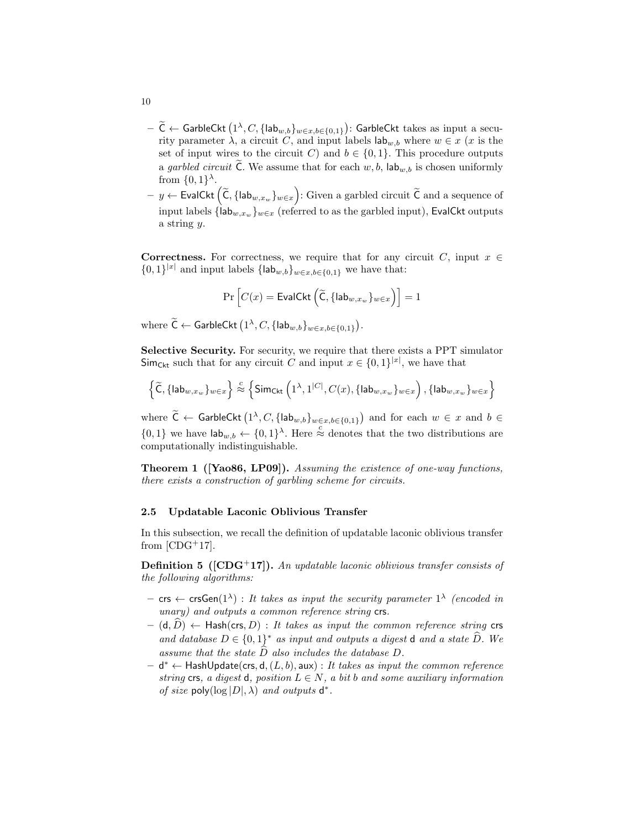- $-$  Č ← GarbleCkt  $\left(1^\lambda, C, \{\mathsf{lab}_{w,b}\}_{w\in x, b\in\{0,1\}}\right)$ : GarbleCkt takes as input a security parameter  $\lambda$ , a circuit C, and input labels  $\mathsf{lab}_w$ , where  $w \in x$  (x is the set of input wires to the circuit C) and  $b \in \{0,1\}$ . This procedure outputs a garbled circuit  $\widetilde{C}$ . We assume that for each w, b,  $\text{lab}_{w,b}$  is chosen uniformly from  $\{0,1\}^{\lambda}$ .
- $-$  *y* ← EvalCkt  $\left(\widetilde{\mathsf{C}}, \{\mathsf{lab}_{w,x_w}\}_{w \in x}\right)$ : Given a garbled circuit  $\widetilde{\mathsf{C}}$  and a sequence of input labels  $\{\hat{lab}_{w,x_w}\}_{w\in x}$  (referred to as the garbled input), EvalCkt outputs a string y.

Correctness. For correctness, we require that for any circuit C, input  $x \in$  $\{0,1\}^{|x|}$  and input labels  $\{\mathsf{lab}_w, b\}_{w \in x, b \in \{0,1\}}$  we have that:

$$
\Pr\left[C(x) = \text{EvalCkt}\left(\widetilde{\mathsf{C}}, \{\mathsf{lab}_{w,x_w}\}_{w \in x}\right)\right] = 1
$$

where  $\widetilde{C} \leftarrow$  GarbleCkt  $(1^{\lambda}, C, \{\mathsf{lab}_{w,b}\}_{w \in x, b \in \{0,1\}}).$ 

Selective Security. For security, we require that there exists a PPT simulator Sim<sub>Ckt</sub> such that for any circuit C and input  $x \in \{0,1\}^{|x|}$ , we have that

$$
\left\{\widetilde{\mathsf{C}}, \{\mathsf{lab}_{w,x_w}\}_{w\in x}\right\} \stackrel{c}{\approx} \left\{\mathsf{Sim}_{\mathsf{Ckt}}\left(1^\lambda, 1^{|C|}, C(x), \{\mathsf{lab}_{w,x_w}\}_{w\in x}\right), \{\mathsf{lab}_{w,x_w}\}_{w\in x}\right\}
$$

where  $C \leftarrow$  GarbleCkt  $(1^{\lambda}, C, \{\mathsf{lab}_{w,b}\}_{w \in x, b \in \{0,1\}})$  and for each  $w \in x$  and  $b \in$  $\{0,1\}$  we have  $\mathsf{lab}_{w,b} \leftarrow \{0,1\}^{\lambda}$ . Here  $\stackrel{c}{\approx}$  denotes that the two distributions are computationally indistinguishable.

Theorem 1 ([Yao86, LP09]). Assuming the existence of one-way functions, there exists a construction of garbling scheme for circuits.

# 2.5 Updatable Laconic Oblivious Transfer

In this subsection, we recall the definition of updatable laconic oblivious transfer from  $[CDG+17]$ .

**Definition 5** ( $[CDG+17]$ ). An updatable laconic oblivious transfer consists of the following algorithms:

- $-$  crs  $\leftarrow$  crsGen(1<sup> $\lambda$ </sup>) : It takes as input the security parameter 1<sup> $\lambda$ </sup> (encoded in unary) and outputs a common reference string crs.
- $-$  (d, D)  $\leftarrow$  Hash(crs, D) : It takes as input the common reference string crs and database  $D \in \{0,1\}^*$  as input and outputs a digest d and a state  $\widehat{D}$ . We assume that the state  $\widehat{D}$  also includes the database  $D$ .
- $-$  d<sup>\*</sup>  $\leftarrow$  HashUpdate(crs, d,  $(L, b)$ , aux) : It takes as input the common reference string crs, a digest d, position  $L \in N$ , a bit b and some auxiliary information of size poly $(\log |D|, \lambda)$  and outputs  $d^*$ .

10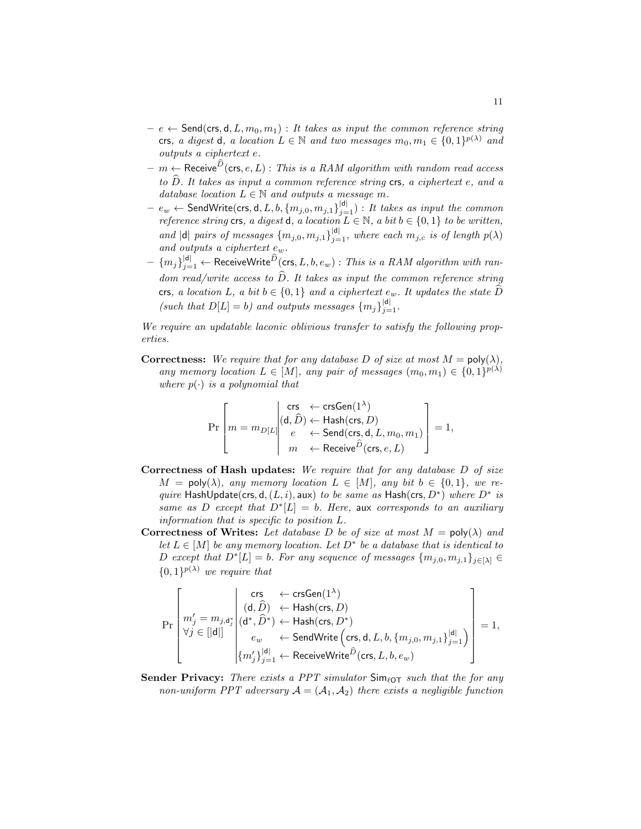- $-e \leftarrow$  Send(crs, d, L,  $m_0, m_1$ ) : It takes as input the common reference string crs, a digest d, a location  $L \in \mathbb{N}$  and two messages  $m_0, m_1 \in \{0, 1\}^{p(\lambda)}$  and outputs a ciphertext e.
- $-$  m  $\leftarrow$  Receive  $^D(\mathsf{crs}, e, L)$  : This is a RAM algorithm with random read access to  $\hat{D}$ . It takes as input a common reference string crs, a ciphertext e, and a database location  $L \in \mathbb{N}$  and outputs a message m.
- $e_w \leftarrow$  SendWrite(crs, d,  $L, b, \{m_{j,0}, m_{j,1}\}_{j=1}^{|\mathsf{d}|}$   $:$   $It$  takes as input the common reference string crs, a digest d, a location  $L \in \mathbb{N}$ , a bit  $b \in \{0,1\}$  to be written, and |d| pairs of messages  $\{m_{j,0}, m_{j,1}\}_{j=1}^{|d|}$ , where each  $m_{j,c}$  is of length  $p(\lambda)$ and outputs a ciphertext ew.
- $\{m_j\}_{j=1}^{|\mathsf{d}|} \leftarrow$  ReceiveWrite $^{\widehat{D}}$ (crs,  $L, b, e_w)$  : *This is a RAM algorithm with ran*dom read/write access to  $\widehat{D}$ . It takes as input the common reference string crs, a location L, a bit  $b \in \{0,1\}$  and a ciphertext  $e_w$ . It updates the state  $\widehat{D}$ (such that  $D[L] = b$ ) and outputs messages  $\{m_j\}_{j=1}^{|d|}$ .

We require an updatable laconic oblivious transfer to satisfy the following properties.

**Correctness:** We require that for any database D of size at most  $M = \text{poly}(\lambda)$ , any memory location  $L \in [M]$ , any pair of messages  $(m_0, m_1) \in \{0, 1\}^{p(\lambda)}$ where  $p(\cdot)$  is a polynomial that

$$
\Pr\left[m=m_D[\text{L}]\middle|\begin{matrix}\mathsf{crs} &\leftarrow\mathsf{crsGen}(1^\lambda)\\ (\mathsf{d},\widehat{D}) &\leftarrow\mathsf{Hash}(\mathsf{crs},D)\\ e&\leftarrow\mathsf{Send}(\mathsf{crs},\mathsf{d},L,m_0,m_1)\\ m&\leftarrow\mathsf{Receive}^{\widehat{D}}(\mathsf{crs},e,L)\end{matrix}\right\}\right]=1,
$$

- Correctness of Hash updates: We require that for any database D of size  $M = \text{poly}(\lambda)$ , any memory location  $L \in [M]$ , any bit  $b \in \{0,1\}$ , we require HashUpdate(crs, d,  $(L, i)$ , aux) to be same as Hash(crs,  $D^*$ ) where  $D^*$  is same as D except that  $D^*[L] = b$ . Here, aux corresponds to an auxiliary information that is specific to position L.
- Correctness of Writes: Let database D be of size at most  $M = \text{poly}(\lambda)$  and let  $L \in [M]$  be any memory location. Let  $D^*$  be a database that is identical to D except that  $D^*[L] = b$ . For any sequence of messages  $\{m_{j,0}, m_{j,1}\}_{j \in [\lambda]} \in$  $\{0,1\}^{p(\lambda)}$  we require that

$$
\Pr\left[\begin{matrix} \text{crs} & \leftarrow \text{crsGen}(1^{\lambda}) \\ (d,\widehat{D}) & \leftarrow \text{Hash}(\text{crs},D) \\ \forall j \in [|{\bf d}|] \end{matrix} \middle| \begin{matrix} \text{crs} & \leftarrow \text{crsGen}(1^{\lambda}) \\ (d^*,\widehat{D}^*) & \leftarrow \text{Hash}(\text{crs},D^*) \\ \leftarrow \text{Hash}(\text{crs},D^*) \\ e_w & \leftarrow \text{SendWrite}\left(\text{crs},d,L,b,\{m_{j,0},m_{j,1}\}_{j=1}^{|{\bf d}|}\right) \end{matrix} \right] = 1,
$$

**Sender Privacy:** There exists a PPT simulator  $\textsf{Sim}_{\ell \textsf{OT}}$  such that the for any non-uniform PPT adversary  $A = (A_1, A_2)$  there exists a negligible function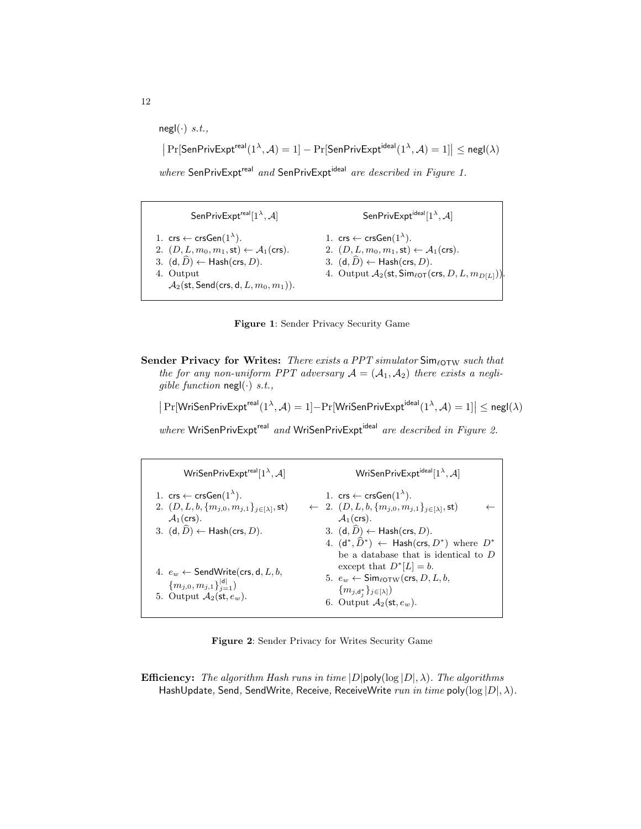$negl(\cdot)$  s.t.,

 $\left|\Pr[\mathsf{SenPrivExpt}^{\mathsf{real}}(1^{\lambda},\mathcal{A})=1]-\Pr[\mathsf{SenPrivExpt}^{\mathsf{ideal}}(1^{\lambda},\mathcal{A})=1]\right|\leq \mathsf{negl}(\lambda)$ 

 $where$  SenPrivExpt<sup>real</sup> and SenPrivExpt<sup>ideal</sup> are described in Figure 1.

SenPrivExpt<sup>real</sup> $[1^{\lambda}, \mathcal{A}]$ 1. crs  $\leftarrow$  crsGen $(1^{\lambda})$ . 2.  $(D, L, m_0, m_1, st) \leftarrow A_1(\text{crs}).$ 3.  $(d, \widehat{D}) \leftarrow$  Hash(crs, D). 4. Output  $A_2$ (st, Send(crs, d, L,  $m_0, m_1$ )).  $\mathsf{SenPrivExpt}^\mathsf{ideal}[1^\lambda,\mathcal{A}]$ 1. crs  $\leftarrow$  crsGen $(1^{\lambda})$ . 2.  $(D, L, m_0, m_1, st) \leftarrow A_1(\text{crs})$ . 3.  $(d, \widehat{D}) \leftarrow$  Hash(crs, D). 4. Output  $A_2(\mathsf{st}, \mathsf{Sim}_{\ell \text{OT}}(\mathsf{crs}, D, L, m_{D[L]}))$ 

Figure 1: Sender Privacy Security Game

**Sender Privacy for Writes:** There exists a PPT simulator  $\textsf{Sim}_{\ell\text{OTW}}$  such that the for any non-uniform PPT adversary  $A = (A_1, A_2)$  there exists a negligible function  $\operatorname{negl}(\cdot)$  s.t.,

 $|\Pr[\mathsf{WriSenPrivExpt}^{\mathsf{real}}(1^{\lambda}, \mathcal{A}) = 1] - \Pr[\mathsf{WriSenPrivExpt}^{\mathsf{ideal}}(1^{\lambda}, \mathcal{A}) = 1]| \leq \mathsf{negl}(\lambda)$ 

where WriSenPrivExpt<sup>real</sup> and WriSenPrivExpt<sup>ideal</sup> are described in Figure 2.

| WriSenPrivExpt <sup>real</sup> $[1^{\lambda}, \mathcal{A}]$                                                                                                                                   | WriSenPrivExptideal $[1^{\lambda}, \mathcal{A}]$                                                                                                                                                                                                                                                                 |
|-----------------------------------------------------------------------------------------------------------------------------------------------------------------------------------------------|------------------------------------------------------------------------------------------------------------------------------------------------------------------------------------------------------------------------------------------------------------------------------------------------------------------|
| 1. crs $\leftarrow$ crsGen $(1^{\lambda})$ .<br>2. $(D, L, b, \{m_{j,0}, m_{j,1}\}_{j\in[\lambda]}, \mathsf{st})$<br>$\mathcal{A}_1$ (crs).<br>3. $(d, \widehat{D}) \leftarrow$ Hash(crs, D). | 1. crs $\leftarrow$ crsGen $(1^{\lambda})$ .<br>$\leftarrow$ 2. $(D, L, b, \{m_{j,0}, m_{j,1}\}_{j \in [\lambda]}, \mathsf{st})$<br>$\mathcal{A}_1$ (crs).<br>3. $(d, \widehat{D}) \leftarrow$ Hash(crs, D).                                                                                                     |
| 4. $e_w \leftarrow$ SendWrite(crs, d, L, b,<br>${m_{j,0}, m_{j,1}}_{i=1}^{ d }$<br>5. Output $A_2(\mathsf{st}, e_w)$ .                                                                        | 4. $(d^*, \widehat{D}^*) \leftarrow$ Hash(crs, $D^*$ ) where $D^*$<br>be a database that is identical to $D$<br>except that $D^*[L] = b$ .<br>5. $e_w \leftarrow \textsf{Sim}_{\ell \textup{OTW}}(\textsf{crs}, D, L, b,$<br>${m_{j,\mathsf{d}^\ast_i}}_{j\in[\lambda]})$<br>6. Output $A_2(\mathsf{st}, e_w)$ . |

Figure 2: Sender Privacy for Writes Security Game

**Efficiency:** The algorithm Hash runs in time  $|D|$ **poly**(log  $|D|$ ,  $\lambda$ ). The algorithms HashUpdate, Send, SendWrite, Receive, ReceiveWrite run in time poly( $\log |D|$ ,  $\lambda$ ).

12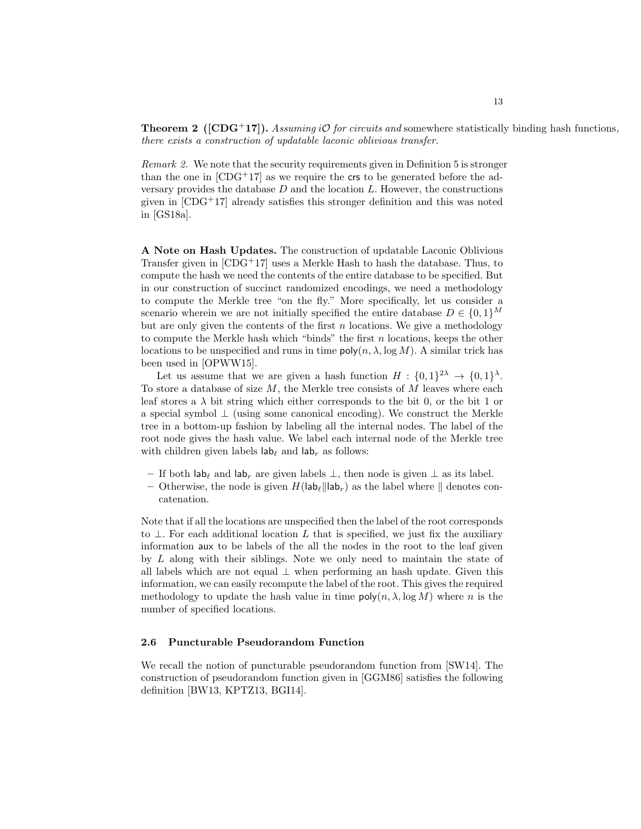**Theorem 2** ([CDG+17]). Assuming iO for circuits and somewhere statistically binding hash functions, there exists a construction of updatable laconic oblivious transfer.

Remark 2. We note that the security requirements given in Definition 5 is stronger than the one in  $[CDG+17]$  as we require the crs to be generated before the adversary provides the database  $D$  and the location  $L$ . However, the constructions given in  $[CDG+17]$  already satisfies this stronger definition and this was noted in [GS18a].

A Note on Hash Updates. The construction of updatable Laconic Oblivious Transfer given in  $[CDG+17]$  uses a Merkle Hash to hash the database. Thus, to compute the hash we need the contents of the entire database to be specified. But in our construction of succinct randomized encodings, we need a methodology to compute the Merkle tree "on the fly." More specifically, let us consider a scenario wherein we are not initially specified the entire database  $D \in \{0,1\}^M$ but are only given the contents of the first  $n$  locations. We give a methodology to compute the Merkle hash which "binds" the first  $n$  locations, keeps the other locations to be unspecified and runs in time  $\mathsf{poly}(n, \lambda, \log M)$ . A similar trick has been used in [OPWW15].

Let us assume that we are given a hash function  $H: \{0,1\}^{2\lambda} \to \{0,1\}^{\lambda}$ . To store a database of size  $M$ , the Merkle tree consists of  $M$  leaves where each leaf stores a  $\lambda$  bit string which either corresponds to the bit 0, or the bit 1 or a special symbol  $\perp$  (using some canonical encoding). We construct the Merkle tree in a bottom-up fashion by labeling all the internal nodes. The label of the root node gives the hash value. We label each internal node of the Merkle tree with children given labels  $\mathsf{lab}_\ell$  and  $\mathsf{lab}_r$  as follows:

- If both lab<sub>l</sub> and lab<sub>r</sub> are given labels  $\perp$ , then node is given  $\perp$  as its label.
- Otherwise, the node is given  $H(|ab_\ell||ab_r)$  as the label where  $\parallel$  denotes concatenation.

Note that if all the locations are unspecified then the label of the root corresponds to  $\perp$ . For each additional location L that is specified, we just fix the auxiliary information aux to be labels of the all the nodes in the root to the leaf given by L along with their siblings. Note we only need to maintain the state of all labels which are not equal  $\perp$  when performing an hash update. Given this information, we can easily recompute the label of the root. This gives the required methodology to update the hash value in time  $\mathsf{poly}(n, \lambda, \log M)$  where n is the number of specified locations.

#### 2.6 Puncturable Pseudorandom Function

We recall the notion of puncturable pseudorandom function from [SW14]. The construction of pseudorandom function given in [GGM86] satisfies the following definition [BW13, KPTZ13, BGI14].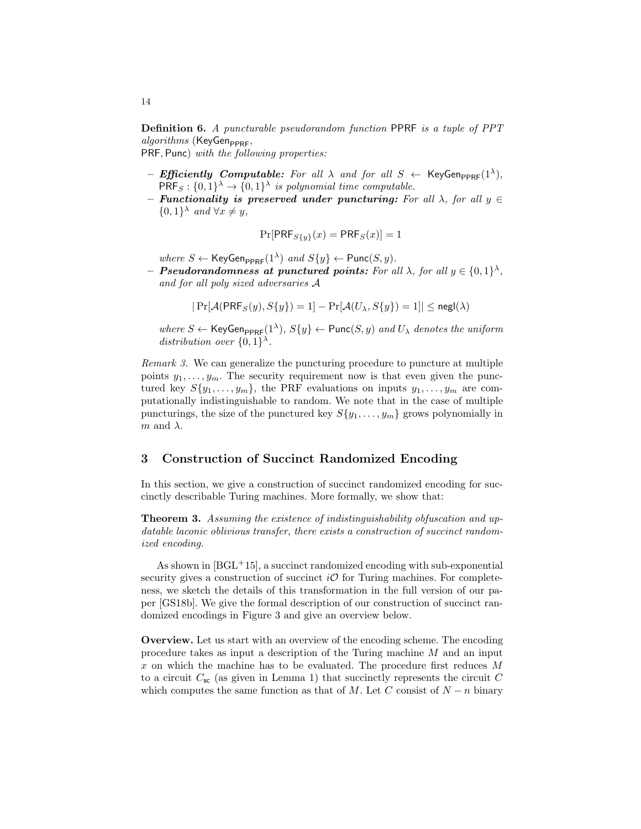Definition 6. A puncturable pseudorandom function PPRF is a tuple of PPT  $algorithms$  (KeyGen<sub>PPRF</sub>,

PRF, Punc) with the following properties:

- Efficiently Computable: For all  $\lambda$  and for all  $S$   $\leftarrow$  KeyGen<sub>PPRF</sub>(1<sup> $\lambda$ </sup>),  $\mathsf{PRF}_S: \{0,1\}^\lambda \to \{0,1\}^\lambda$  is polynomial time computable.
- Functionality is preserved under puncturing: For all  $\lambda$ , for all  $y \in$  $\{0,1\}^{\lambda}$  and  $\forall x \neq y$ ,

$$
\Pr[\mathsf{PRF}_{S\{y\}}(x) = \mathsf{PRF}_S(x)] = 1
$$

where  $S \leftarrow \mathsf{KeyGen}_{\mathsf{PPRF}}(1^{\lambda})$  and  $S\{y\} \leftarrow \mathsf{Punc}(S, y)$ .

- Pseudorandomness at punctured points: For all  $\lambda$ , for all  $y \in \{0,1\}^{\lambda}$ , and for all poly sized adversaries A

 $|\Pr[\mathcal{A}(PRF_S(y), S\{y\}) = 1] - \Pr[\mathcal{A}(U_\lambda, S\{y\}) = 1]| \leq \mathsf{negl}(\lambda)$ 

where  $S \leftarrow \text{KeyGen}_{\text{PPRF}}(1^{\lambda}), S\{y\} \leftarrow \text{Punc}(S, y)$  and  $U_{\lambda}$  denotes the uniform distribution over  $\{0,1\}^{\lambda}$ .

Remark 3. We can generalize the puncturing procedure to puncture at multiple points  $y_1, \ldots, y_m$ . The security requirement now is that even given the punctured key  $S\{y_1,\ldots,y_m\}$ , the PRF evaluations on inputs  $y_1,\ldots,y_m$  are computationally indistinguishable to random. We note that in the case of multiple puncturings, the size of the punctured key  $S\{y_1,\ldots,y_m\}$  grows polynomially in  $m$  and  $\lambda$ .

## 3 Construction of Succinct Randomized Encoding

In this section, we give a construction of succinct randomized encoding for succinctly describable Turing machines. More formally, we show that:

**Theorem 3.** Assuming the existence of indistinguishability obfuscation and updatable laconic oblivious transfer, there exists a construction of succinct randomized encoding.

As shown in  $[BGL<sup>+</sup>15]$ , a succinct randomized encoding with sub-exponential security gives a construction of succinct  $i\mathcal{O}$  for Turing machines. For completeness, we sketch the details of this transformation in the full version of our paper [GS18b]. We give the formal description of our construction of succinct randomized encodings in Figure 3 and give an overview below.

Overview. Let us start with an overview of the encoding scheme. The encoding procedure takes as input a description of the Turing machine M and an input x on which the machine has to be evaluated. The procedure first reduces M to a circuit  $C_{\rm sc}$  (as given in Lemma 1) that succinctly represents the circuit  $C$ which computes the same function as that of M. Let C consist of  $N - n$  binary

14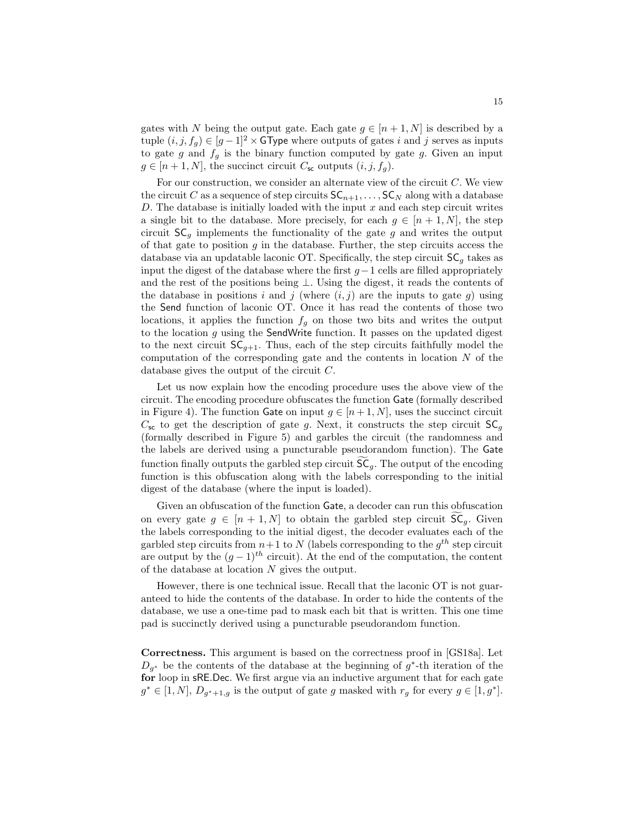gates with N being the output gate. Each gate  $g \in [n+1, N]$  is described by a tuple  $(i, j, f_g) \in [g-1]^2 \times$  GType where outputs of gates i and j serves as inputs to gate g and  $f_g$  is the binary function computed by gate g. Given an input  $g \in [n+1, N]$ , the succinct circuit  $C_{\text{sc}}$  outputs  $(i, j, f_g)$ .

For our construction, we consider an alternate view of the circuit  $C$ . We view the circuit C as a sequence of step circuits  $SC_{n+1}, \ldots, SC_N$  along with a database D. The database is initially loaded with the input  $x$  and each step circuit writes a single bit to the database. More precisely, for each  $g \in [n+1, N]$ , the step circuit  $SC<sub>q</sub>$  implements the functionality of the gate g and writes the output of that gate to position  $g$  in the database. Further, the step circuits access the database via an updatable laconic OT. Specifically, the step circuit  $SC_q$  takes as input the digest of the database where the first  $g-1$  cells are filled appropriately and the rest of the positions being ⊥. Using the digest, it reads the contents of the database in positions i and j (where  $(i, j)$  are the inputs to gate q) using the Send function of laconic OT. Once it has read the contents of those two locations, it applies the function  $f<sub>g</sub>$  on those two bits and writes the output to the location  $g$  using the SendWrite function. It passes on the updated digest to the next circuit  $SC_{g+1}$ . Thus, each of the step circuits faithfully model the computation of the corresponding gate and the contents in location  $N$  of the database gives the output of the circuit C.

Let us now explain how the encoding procedure uses the above view of the circuit. The encoding procedure obfuscates the function Gate (formally described in Figure 4). The function Gate on input  $g \in [n+1, N]$ , uses the succinct circuit  $C_{\rm sc}$  to get the description of gate g. Next, it constructs the step circuit  $SC_{q}$ (formally described in Figure 5) and garbles the circuit (the randomness and the labels are derived using a puncturable pseudorandom function). The Gate function finally outputs the garbled step circuit  $\overline{SC}_q$ . The output of the encoding function is this obfuscation along with the labels corresponding to the initial digest of the database (where the input is loaded).

Given an obfuscation of the function Gate, a decoder can run this obfuscation on every gate  $g \in [n + 1, N]$  to obtain the garbled step circuit  $\widetilde{SC}_a$ . Given the labels corresponding to the initial digest, the decoder evaluates each of the garbled step circuits from  $n+1$  to N (labels corresponding to the  $g^{th}$  step circuit are output by the  $(g-1)^{th}$  circuit). At the end of the computation, the content of the database at location  $N$  gives the output.

However, there is one technical issue. Recall that the laconic OT is not guaranteed to hide the contents of the database. In order to hide the contents of the database, we use a one-time pad to mask each bit that is written. This one time pad is succinctly derived using a puncturable pseudorandom function.

Correctness. This argument is based on the correctness proof in [GS18a]. Let  $D_{g^*}$  be the contents of the database at the beginning of  $g^*$ -th iteration of the for loop in sRE.Dec. We first argue via an inductive argument that for each gate  $g^* \in [1, N], D_{g^*+1,g}$  is the output of gate g masked with  $r_g$  for every  $g \in [1, g^*].$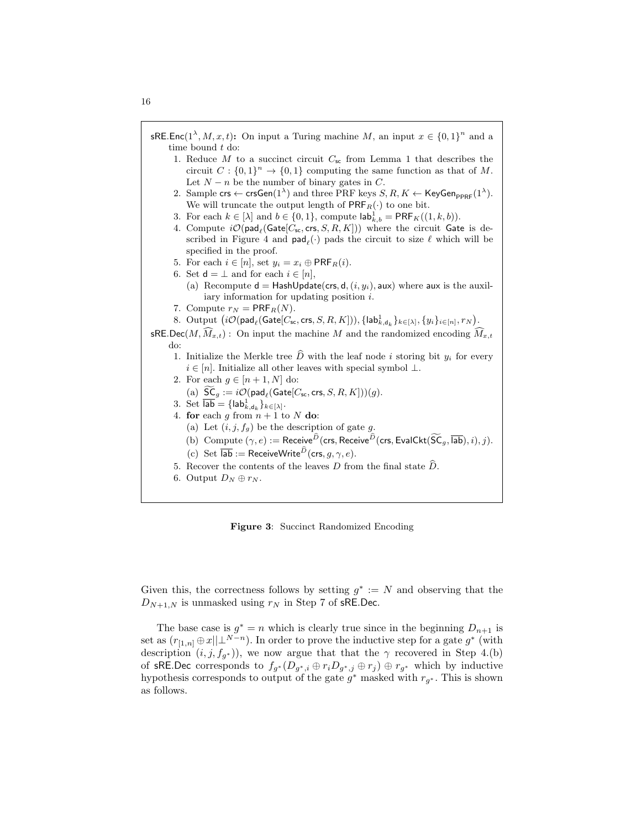

Figure 3: Succinct Randomized Encoding

Given this, the correctness follows by setting  $g^* := N$  and observing that the  $D_{N+1,N}$  is unmasked using  $r_N$  in Step 7 of sRE.Dec.

The base case is  $g^* = n$  which is clearly true since in the beginning  $D_{n+1}$  is set as  $(r_{[1,n]}\oplus x||\perp^{N-n})$ . In order to prove the inductive step for a gate  $g^*$  (with description  $(i, j, f_{g^*})$ , we now argue that that the  $\gamma$  recovered in Step 4.(b) of sRE.Dec corresponds to  $f_{g^*}(D_{g^*,i} \oplus r_i D_{g^*,j} \oplus r_j) \oplus r_{g^*}$  which by inductive hypothesis corresponds to output of the gate  $g^*$  masked with  $r_{g^*}$ . This is shown as follows.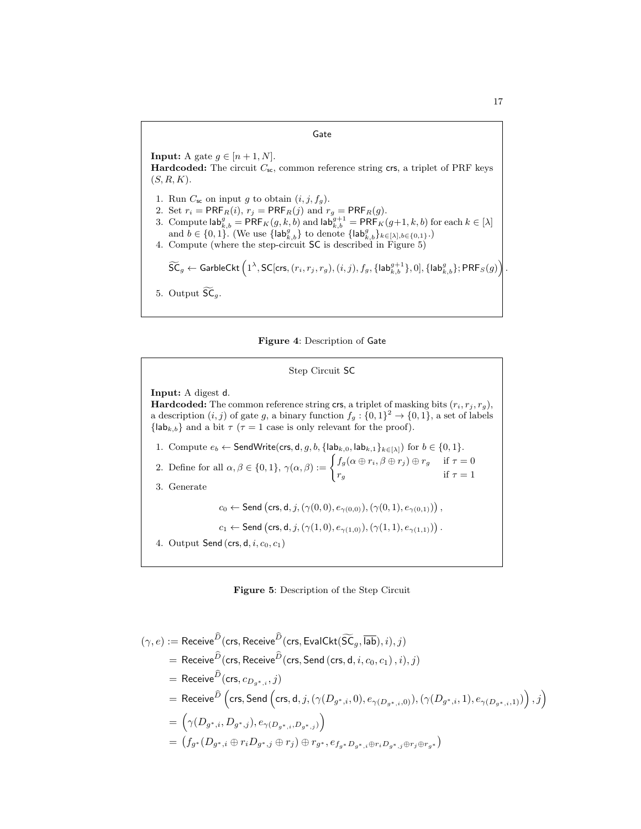Gate **Input:** A gate  $g \in [n+1, N]$ . **Hardcoded:** The circuit  $C_{sc}$ , common reference string crs, a triplet of PRF keys  $(S, R, K)$ . 1. Run  $C_{\mathsf{sc}}$  on input g to obtain  $(i, j, f_g)$ . 2. Set  $r_i = \text{PRF}_R(i)$ ,  $r_j = \text{PRF}_R(j)$  and  $r_g = \text{PRF}_R(g)$ . 3. Compute  $\mathsf{lab}^g_{k,b} = \mathsf{PRF}_K(g,k,b)$  and  $\mathsf{lab}^{g+1}_{k,b} = \mathsf{PRF}_K(g+1,k,b)$  for each  $k \in [\lambda]$ and  $b \in \{0, 1\}$ . (We use  $\{\textsf{lab}_{k,b}^g\}$  to denote  $\{\textsf{lab}_{k,b}^g\}_{k \in [\lambda], b \in \{0,1\}}$ .) 4. Compute (where the step-circuit SC is described in Figure 5)  $\widetilde{\mathsf{SC}}_\mathscr{g} \leftarrow \mathsf{GarbleCkt}\left(1^\lambda,\mathsf{SC}[\mathsf{crs},(r_i,r_j,r_g),(i,j),f_g,\{\mathsf{lab}_{k,b}^{g+1}\},0],\{\mathsf{lab}_{k,b}^g\};\mathsf{PRF}_S(g)\right)$ . 5. Output  $\widetilde{SC}_g$ .

#### Figure 4: Description of Gate

Step Circuit SC Input: A digest d. **Hardcoded:** The common reference string crs, a triplet of masking bits  $(r_i, r_j, r_q)$ , a description  $(i, j)$  of gate g, a binary function  $f_g: \{0, 1\}^2 \to \{0, 1\}$ , a set of labels  $\{\mathsf{lab}_{k,b}\}\$  and a bit  $\tau$  ( $\tau = 1$  case is only relevant for the proof). 1. Compute  $e_b \leftarrow \mathsf{SendWrite}(\mathsf{crs}, \mathsf{d}, g, b, \{\mathsf{lab}_{k,0}, \mathsf{lab}_{k,1}\}_{k \in [\lambda]} )$  for  $b \in \{0,1\}$ . 2. Define for all  $\alpha, \beta \in \{0,1\}, \gamma(\alpha, \beta) := \begin{cases} f_g(\alpha \oplus r_i, \beta \oplus r_j) \oplus r_g & \text{if } \tau = 0 \end{cases}$  $r_g$  if  $\tau = 1$ 3. Generate  $c_0 \leftarrow$  Send  $($ crs, d,  $j, (\gamma(0, 0), e_{\gamma(0, 0)}), (\gamma(0, 1), e_{\gamma(0, 1)}))$ ,  $c_1 \leftarrow$  Send  $(crs, d, j, (\gamma(1, 0), e_{\gamma(1, 0)}), (\gamma(1, 1), e_{\gamma(1, 1)}))$ . 4. Output Send (crs,  $d, i, c_0, c_1$ )



$$
\begin{aligned} &(\gamma,e) := \mathsf{Receive}^D(\mathsf{crs},\mathsf{Receive}^D(\mathsf{crs},\mathsf{EvalCkt}(\widetilde{\mathsf{SC}}_g,\overline{\mathsf{lab}}),i),j) \\ &= \mathsf{Receive}^{\widehat{D}}(\mathsf{crs},\mathsf{Receive}^{\widehat{D}}(\mathsf{crs},\mathsf{Send}\left(\mathsf{crs},\mathsf{d},i,c_0,c_1\right),i),j) \\ &= \mathsf{Receive}^{\widehat{D}}\left(\mathsf{crs},c_{D_{g^*,i}},j\right) \\ &= \mathsf{Receive}^{\widehat{D}}\left(\mathsf{crs},\mathsf{Send}\left(\mathsf{crs},\mathsf{d},j,(\gamma(D_{g^*,i},0),e_{\gamma(D_{g^*,i},0)}),(\gamma(D_{g^*,i},1),e_{\gamma(D_{g^*,i},1)})\right),j\right) \\ &= \left(\gamma(D_{g^*,i},D_{g^*,j}),e_{\gamma(D_{g^*,i},D_{g^*,j})}\right) \\ &= \left(f_{g^*}(D_{g^*,i}\oplus r_iD_{g^*,j}\oplus r_j)\oplus r_{g^*},e_{f_{g^*}D_{g^*,i}\oplus r_iD_{g^*,j}\oplus r_{g^*}\right) \end{aligned}
$$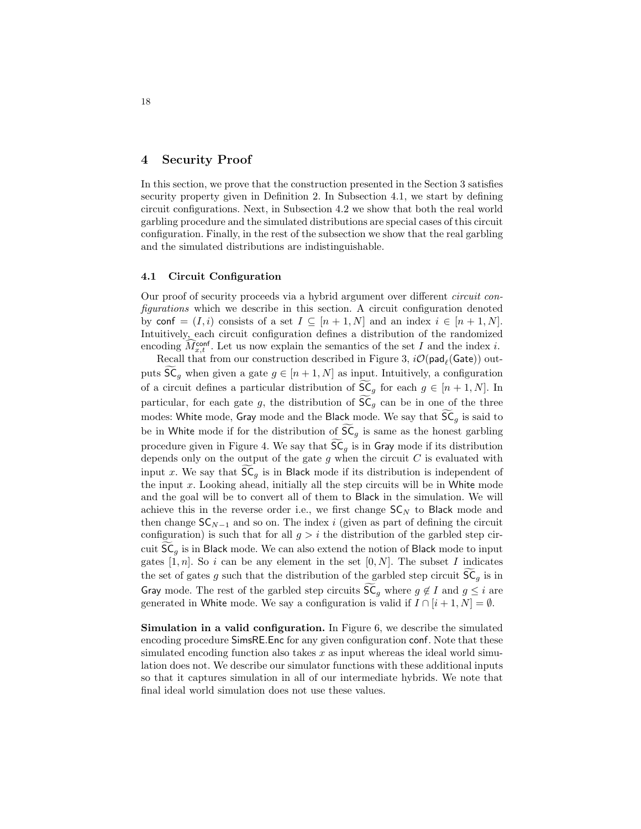# 4 Security Proof

In this section, we prove that the construction presented in the Section 3 satisfies security property given in Definition 2. In Subsection 4.1, we start by defining circuit configurations. Next, in Subsection 4.2 we show that both the real world garbling procedure and the simulated distributions are special cases of this circuit configuration. Finally, in the rest of the subsection we show that the real garbling and the simulated distributions are indistinguishable.

# 4.1 Circuit Configuration

Our proof of security proceeds via a hybrid argument over different *circuit con*figurations which we describe in this section. A circuit configuration denoted by conf =  $(I, i)$  consists of a set  $I \subseteq [n + 1, N]$  and an index  $i \in [n + 1, N]$ . Intuitively, each circuit configuration defines a distribution of the randomized encoding  $\widehat{M}_{x,t}^{\text{conf}}$ . Let us now explain the semantics of the set I and the index i.

Recall that from our construction described in Figure 3,  $i\mathcal{O}(\mathsf{pad}_\ell(\mathsf{Gate}))$  outputs  $SC_g$  when given a gate  $g \in [n + 1, N]$  as input. Intuitively, a configuration of a circuit defines a particular distribution of  $\mathsf{SC}_g$  for each  $g \in [n + 1, N]$ . In particular, for each gate g, the distribution of  $SC<sub>g</sub>$  can be in one of the three modes: White mode, Gray mode and the Black mode. We say that  $\overline{SC}_q$  is said to be in White mode if for the distribution of  $\widetilde{SC}_g$  is same as the honest garbling procedure given in Figure 4. We say that  $SC<sub>g</sub>$  is in Gray mode if its distribution depends only on the output of the gate  $g$  when the circuit  $C$  is evaluated with input x. We say that  $SC<sub>g</sub>$  is in Black mode if its distribution is independent of the input x. Looking ahead, initially all the step circuits will be in White mode and the goal will be to convert all of them to Black in the simulation. We will achieve this in the reverse order i.e., we first change  $SC_N$  to Black mode and then change  $SC_{N-1}$  and so on. The index i (given as part of defining the circuit configuration) is such that for all  $g > i$  the distribution of the garbled step circuit  $SC<sub>q</sub>$  is in Black mode. We can also extend the notion of Black mode to input gates [1, n]. So i can be any element in the set  $[0, N]$ . The subset I indicates the set of gates g such that the distribution of the garbled step circuit  $SC<sub>g</sub>$  is in Gray mode. The rest of the garbled step circuits  $\widetilde{SC}_q$  where  $g \notin I$  and  $g \leq i$  are generated in White mode. We say a configuration is valid if  $I \cap [i + 1, N] = \emptyset$ .

Simulation in a valid configuration. In Figure 6, we describe the simulated encoding procedure SimsRE.Enc for any given configuration conf. Note that these simulated encoding function also takes  $x$  as input whereas the ideal world simulation does not. We describe our simulator functions with these additional inputs so that it captures simulation in all of our intermediate hybrids. We note that final ideal world simulation does not use these values.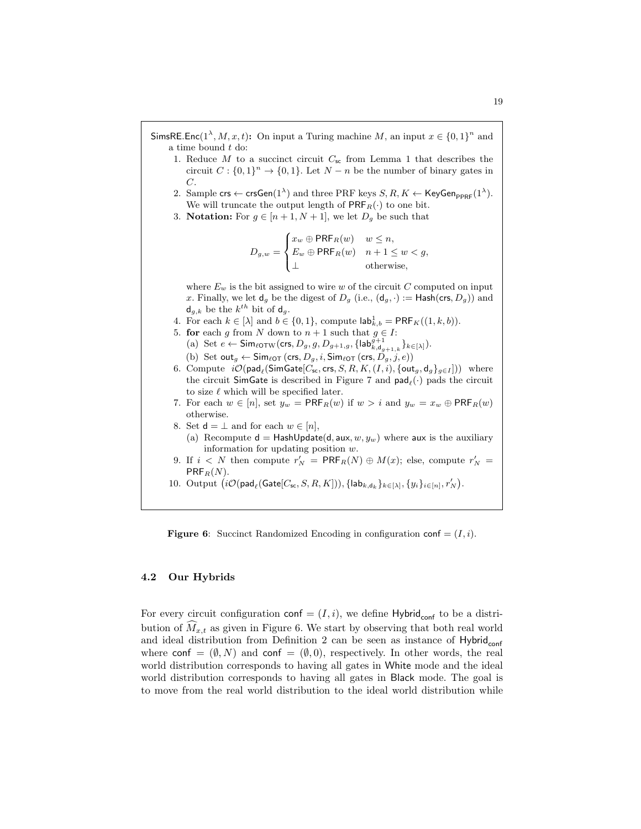SimsRE.Enc( $1^{\lambda}, M, x, t$ ): On input a Turing machine M, an input  $x \in \{0, 1\}^n$  and a time bound  $t$  do:

- 1. Reduce  $M$  to a succinct circuit  $C_{\text{sc}}$  from Lemma 1 that describes the circuit  $C: \{0,1\}^n \to \{0,1\}$ . Let  $N-n$  be the number of binary gates in C.
- 2. Sample crs  $\leftarrow$  crsGen(1<sup> $\lambda$ </sup>) and three PRF keys  $S, R, K \leftarrow$  KeyGen<sub>PPRF</sub>(1<sup> $\lambda$ </sup>). We will truncate the output length of  $\mathsf{PRF}_R(\cdot)$  to one bit.
- 3. Notation: For  $g \in [n+1, N+1]$ , we let  $D_g$  be such that

$$
D_{g,w} = \begin{cases} x_w \oplus \text{PRF}_R(w) & w \le n, \\ E_w \oplus \text{PRF}_R(w) & n+1 \le w < g, \\ \perp & \text{otherwise,} \end{cases}
$$

where  $E_w$  is the bit assigned to wire w of the circuit C computed on input x. Finally, we let  $d_g$  be the digest of  $D_g$  (i.e.,  $(d_g, \cdot) := \mathsf{Hash}(\mathsf{crs}, D_g)$ ) and  $d_{g,k}$  be the  $k^{th}$  bit of  $d_g$ .

- 4. For each  $k \in [\lambda]$  and  $b \in \{0,1\}$ , compute  $\mathsf{lab}^1_{k,b} = \mathsf{PRF}_K((1,k,b)).$
- 5. for each g from N down to  $n + 1$  such that  $g \in I$ :
	- (a) Set  $e \leftarrow \textsf{Sim}_{\ell \textup{OTW}}(\textsf{crs}, D_g, g, D_{g+1,g}, {\{\textsf{lab}^{g+1}_{k,d_{g+1,k}}\}_{k \in [\lambda]}}).$
	- (b) Set out<sub>g</sub>  $\leftarrow$  Sim<sub>loT</sub> (crs, D<sub>g</sub>, i, Sim<sub>loT</sub> (crs, D<sub>g</sub>, j, e))
- 6. Compute  $i\mathcal{O}(\mathsf{pad}_\ell(\mathsf{SimGate}[C_\mathsf{sc},\mathsf{crs},S,R,K,(I,i),\{\mathsf{out}_g,\mathsf{d}_g\}_{g\in I}]))$  where the circuit SimGate is described in Figure 7 and  $\textsf{pad}_\ell(\cdot)$  pads the circuit to size  $\ell$  which will be specified later.
- 7. For each  $w \in [n]$ , set  $y_w = \text{PRF}_R(w)$  if  $w > i$  and  $y_w = x_w \oplus \text{PRF}_R(w)$ otherwise.
- 8. Set  $d = \perp$  and for each  $w \in [n]$ ,
	- (a) Recompute  $d =$  HashUpdate(d, aux,  $w, y_w$ ) where aux is the auxiliary information for updating position w.
- 9. If  $i < N$  then compute  $r'_N$  = PRF<sub>R</sub>(N)  $\oplus M(x)$ ; else, compute  $r'_N$  =  $PRF_R(N)$ .
- 10. Output  $(i\mathcal{O}(\mathsf{pad}_\ell(\mathsf{Gate}[C_{\mathsf{sc}},S,R,K])),\{\mathsf{lab}_{k,\mathsf{d}_k}\}_{k\in[\lambda]},\{y_i\}_{i\in[n]},r_N').$

**Figure 6:** Succinct Randomized Encoding in configuration conf =  $(I, i)$ .

#### 4.2 Our Hybrids

For every circuit configuration conf =  $(I, i)$ , we define Hybrid<sub>conf</sub> to be a distribution of  $\widehat{M}_{x,t}$  as given in Figure 6. We start by observing that both real world and ideal distribution from Definition 2 can be seen as instance of  $Hybrid<sub>conf</sub>$ where conf =  $(\emptyset, N)$  and conf =  $(\emptyset, 0)$ , respectively. In other words, the real world distribution corresponds to having all gates in White mode and the ideal world distribution corresponds to having all gates in Black mode. The goal is to move from the real world distribution to the ideal world distribution while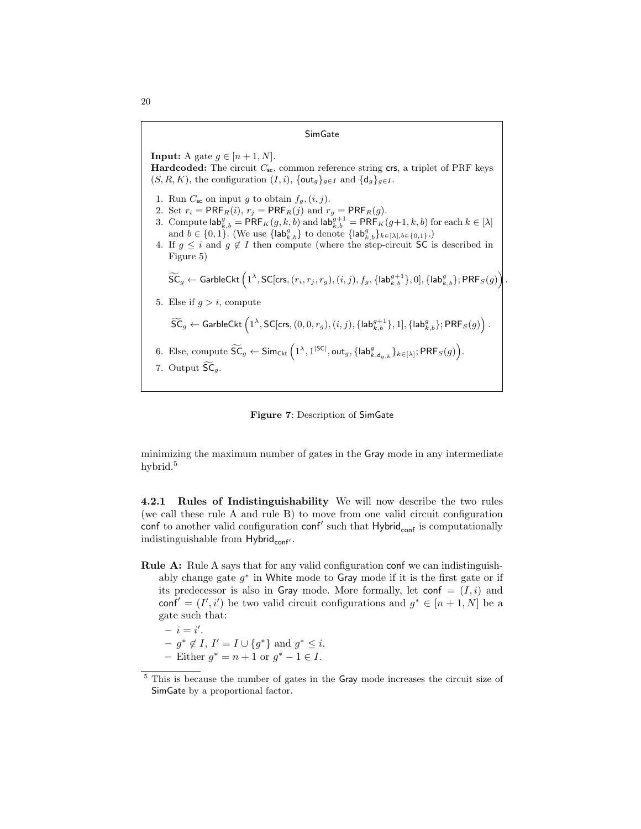#### **SimGate**

**Input:** A gate  $g \in [n+1, N]$ .

Hardcoded: The circuit  $C_{sc}$ , common reference string crs, a triplet of PRF keys  $(S, R, K)$ , the configuration  $(I, i)$ , {out<sub>g</sub>}<sub>g∈I</sub> and {d<sub>g</sub>}<sub>g∈I</sub>.

- 1. Run  $C_{\text{sc}}$  on input g to obtain  $f_g$ ,  $(i, j)$ .
- 2. Set  $r_i = \text{PRF}_R(i)$ ,  $r_j = \text{PRF}_R(j)$  and  $r_g = \text{PRF}_R(g)$ .
- 3. Compute  $\mathsf{lab}^g_{k,b} = \mathsf{PRF}_K(g,k,b)$  and  $\mathsf{lab}^{g+1}_{k,b} = \mathsf{PRF}_K(g+1,k,b)$  for each  $k \in [\lambda]$ and  $b \in \{0, 1\}$ . (We use  $\{\textsf{lab}_{k,b}^g\}$  to denote  $\{\textsf{lab}_{k,b}^g\}_{k \in [\lambda], b \in \{0,1\}}$ .)
- 4. If  $g \leq i$  and  $g \notin I$  then compute (where the step-circuit SC is described in Figure 5)
	- $\widetilde{\mathsf{SC}}_g \leftarrow \mathsf{GarbleCkt}\left(1^\lambda,\mathsf{SC}[\mathsf{crs},(r_i,r_j,r_g),(i,j),f_g,\{\mathsf{lab}^{g+1}_{k,b}\},0],\{\mathsf{lab}^g_{k,b}\};\mathsf{PRF}_S(g)\right)$ .
- 5. Else if  $g > i$ , compute

$$
\widetilde{\mathsf{SC}}_g \gets \mathsf{GarbleCkt}\left(1^{\lambda}, \mathsf{SC}[\mathsf{crs}, (0,0,r_g), (i,j), \{\mathsf{lab}^{g+1}_{k,b}\}, 1], \{\mathsf{lab}^g_{k,b}\}; \mathsf{PRF}_S(g)\right).
$$

- 6. Else, compute  $\widetilde{\mathsf{SC}}_\mathsf{g} \leftarrow \mathsf{Sim}_\mathsf{Ckt}\left(1^\lambda,1^{|\mathsf{SC}|},\mathsf{out}_\mathsf{g},\{\mathsf{lab}^\mathsf{g}_{k,\mathsf{d}_\mathsf{g,k}}\}_{k\in[\lambda]};\mathsf{PRF}_S(g)\right)$ .
- 7. Output  $\widetilde{SC}_g$ .

Figure 7: Description of SimGate

minimizing the maximum number of gates in the Gray mode in any intermediate hybrid.<sup>5</sup>

4.2.1 Rules of Indistinguishability We will now describe the two rules (we call these rule A and rule B) to move from one valid circuit configuration conf to another valid configuration  $\text{conf}'$  such that  $\text{Hybrid}_{\text{conf}}$  is computationally indistinguishable from  $Hybrid_{conf'}$ .

- Rule A: Rule A says that for any valid configuration conf we can indistinguishably change gate  $g^*$  in White mode to Gray mode if it is the first gate or if its predecessor is also in Gray mode. More formally, let conf  $=(I, i)$  and  $\text{conf}' = (I', i')$  be two valid circuit configurations and  $g^* \in [n+1, N]$  be a gate such that:
	- $i = i'.$
	- $-g^* \notin I, I' = I \cup \{g^*\}\text{ and } g^* \leq i.$
	- $-$  Either  $g^* = n + 1$  or  $g^* 1 \in I$ .

<sup>5</sup> This is because the number of gates in the Gray mode increases the circuit size of SimGate by a proportional factor.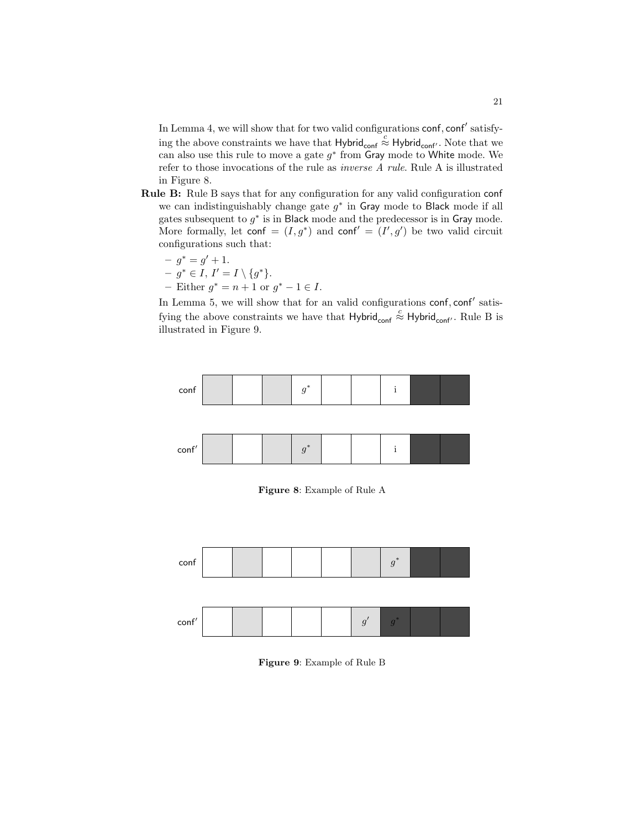In Lemma 4, we will show that for two valid configurations conf, conf' satisfying the above constraints we have that  $Hybrid_{conf} \stackrel{c}{\approx} Hybrid_{conf'}$ . Note that we can also use this rule to move a gate  $g^*$  from Gray mode to White mode. We refer to those invocations of the rule as inverse A rule. Rule A is illustrated in Figure 8.

- Rule B: Rule B says that for any configuration for any valid configuration conf we can indistinguishably change gate  $g^*$  in Gray mode to Black mode if all gates subsequent to  $g^*$  is in Black mode and the predecessor is in Gray mode. More formally, let conf =  $(I, g^*)$  and conf' =  $(I', g')$  be two valid circuit configurations such that:
	- $-g^* = g' + 1.$
	- $-g^* \in I, I' = I \setminus \{g^*\}.$
	- $-$  Either  $g^* = n + 1$  or  $g^* 1 \in I$ .

In Lemma 5, we will show that for an valid configurations  $\text{conf}, \text{conf}'$  satisfying the above constraints we have that  $Hybrid_{conf} \stackrel{c}{\approx} Hybrid_{conf'}$ . Rule B is illustrated in Figure 9.



Figure 8: Example of Rule A



Figure 9: Example of Rule B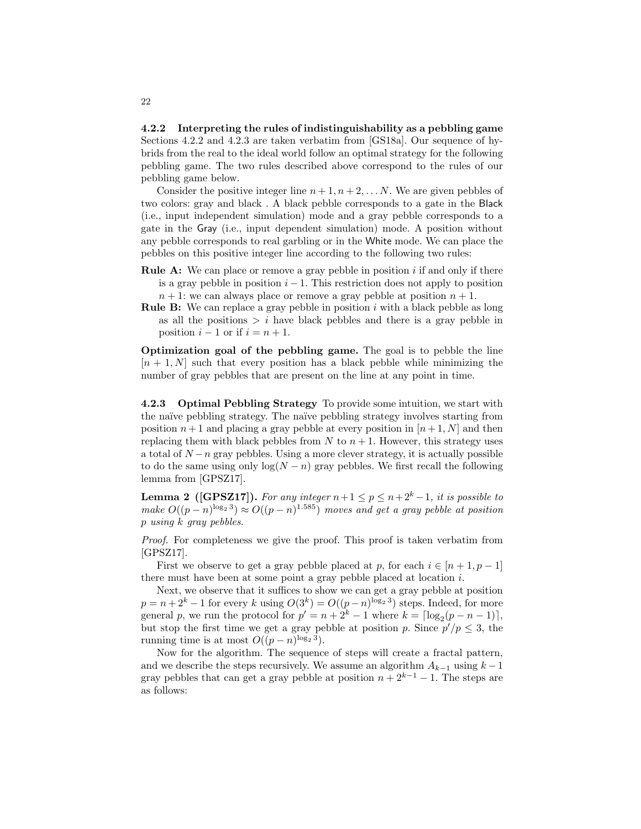4.2.2 Interpreting the rules of indistinguishability as a pebbling game Sections 4.2.2 and 4.2.3 are taken verbatim from [GS18a]. Our sequence of hybrids from the real to the ideal world follow an optimal strategy for the following pebbling game. The two rules described above correspond to the rules of our pebbling game below.

Consider the positive integer line  $n + 1, n + 2, \ldots N$ . We are given pebbles of two colors: gray and black . A black pebble corresponds to a gate in the Black (i.e., input independent simulation) mode and a gray pebble corresponds to a gate in the Gray (i.e., input dependent simulation) mode. A position without any pebble corresponds to real garbling or in the White mode. We can place the pebbles on this positive integer line according to the following two rules:

- **Rule A:** We can place or remove a gray pebble in position  $i$  if and only if there is a gray pebble in position  $i - 1$ . This restriction does not apply to position  $n + 1$ : we can always place or remove a gray pebble at position  $n + 1$ .
- **Rule B:** We can replace a gray pebble in position  $i$  with a black pebble as long as all the positions  $\geq i$  have black pebbles and there is a gray pebble in position  $i - 1$  or if  $i = n + 1$ .

Optimization goal of the pebbling game. The goal is to pebble the line  $[n+1, N]$  such that every position has a black pebble while minimizing the number of gray pebbles that are present on the line at any point in time.

4.2.3 Optimal Pebbling Strategy To provide some intuition, we start with the naïve pebbling strategy. The naïve pebbling strategy involves starting from position  $n+1$  and placing a gray pebble at every position in  $[n+1, N]$  and then replacing them with black pebbles from N to  $n + 1$ . However, this strategy uses a total of  $N - n$  gray pebbles. Using a more clever strategy, it is actually possible to do the same using only  $log(N - n)$  gray pebbles. We first recall the following lemma from [GPSZ17].

**Lemma 2** ([GPSZ17]). For any integer  $n+1 \leq p \leq n+2^k-1$ , it is possible to make  $O((p - n)^{\log_2 3}) \approx O((p - n)^{1.585})$  moves and get a gray pebble at position p using k gray pebbles.

Proof. For completeness we give the proof. This proof is taken verbatim from [GPSZ17].

First we observe to get a gray pebble placed at p, for each  $i \in [n+1, p-1]$ there must have been at some point a gray pebble placed at location i.

Next, we observe that it suffices to show we can get a gray pebble at position  $p = n + 2<sup>k</sup> - 1$  for every k using  $O(3<sup>k</sup>) = O((p - n)^{\log_2 3})$  steps. Indeed, for more general p, we run the protocol for  $p' = n + 2<sup>k</sup> - 1$  where  $k = \lfloor \log_2(p - n - 1) \rfloor$ , but stop the first time we get a gray pebble at position p. Since  $p'/p \leq 3$ , the running time is at most  $O((p-n)^{\log_2 3})$ .

Now for the algorithm. The sequence of steps will create a fractal pattern, and we describe the steps recursively. We assume an algorithm  $A_{k-1}$  using  $k-1$ gray pebbles that can get a gray pebble at position  $n + 2^{k-1} - 1$ . The steps are as follows: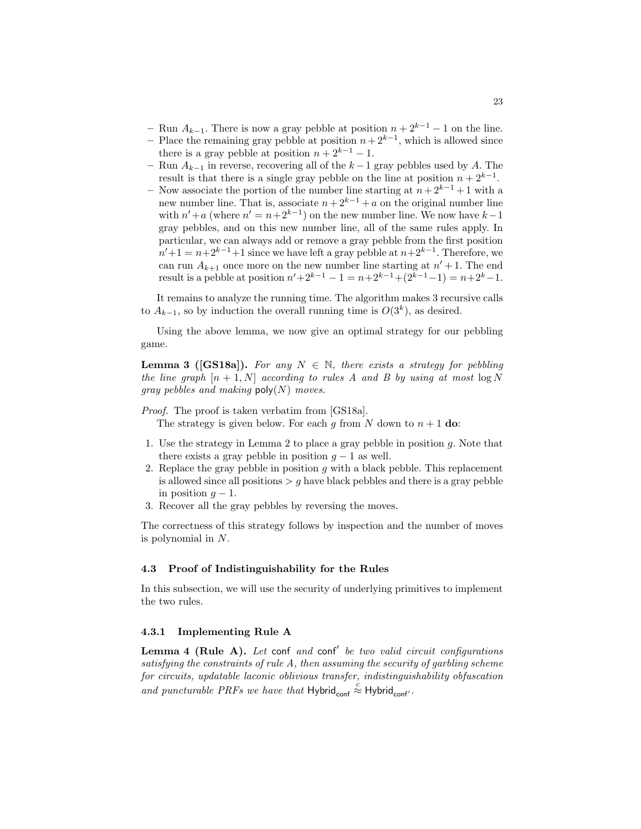- Run  $A_{k-1}$ . There is now a gray pebble at position  $n + 2^{k-1} 1$  on the line.
- Place the remaining gray pebble at position  $n + 2^{k-1}$ , which is allowed since there is a gray pebble at position  $n + 2^{k-1} - 1$ .
- Run  $A_{k-1}$  in reverse, recovering all of the  $k-1$  gray pebbles used by A. The result is that there is a single gray pebble on the line at position  $n + 2^{k-1}$ .
- Now associate the portion of the number line starting at  $n+2^{k-1}+1$  with a new number line. That is, associate  $n+2^{k-1}+a$  on the original number line with  $n' + a$  (where  $n' = n + 2^{k-1}$ ) on the new number line. We now have  $k-1$ gray pebbles, and on this new number line, all of the same rules apply. In particular, we can always add or remove a gray pebble from the first position  $n'+1 = n+2^{k-1}+1$  since we have left a gray pebble at  $n+2^{k-1}$ . Therefore, we can run  $A_{k+1}$  once more on the new number line starting at  $n' + 1$ . The end result is a pebble at position  $n'+2^{k-1}-1 = n+2^{k-1}+(2^{k-1}-1) = n+2^k-1$ .

It remains to analyze the running time. The algorithm makes 3 recursive calls to  $A_{k-1}$ , so by induction the overall running time is  $O(3<sup>k</sup>)$ , as desired.

Using the above lemma, we now give an optimal strategy for our pebbling game.

**Lemma 3** ([GS18a]). For any  $N \in \mathbb{N}$ , there exists a strategy for pebbling the line graph  $[n+1,N]$  according to rules A and B by using at most  $\log N$ *gray pebbles and making poly* $(N)$  *moves.* 

Proof. The proof is taken verbatim from [GS18a].

The strategy is given below. For each g from N down to  $n + 1$  do:

- 1. Use the strategy in Lemma 2 to place a gray pebble in position g. Note that there exists a gray pebble in position  $q - 1$  as well.
- 2. Replace the gray pebble in position q with a black pebble. This replacement is allowed since all positions  $> q$  have black pebbles and there is a gray pebble in position  $q-1$ .
- 3. Recover all the gray pebbles by reversing the moves.

The correctness of this strategy follows by inspection and the number of moves is polynomial in N.

### 4.3 Proof of Indistinguishability for the Rules

In this subsection, we will use the security of underlying primitives to implement the two rules.

### 4.3.1 Implementing Rule A

Lemma 4 (Rule A). Let conf and conf' be two valid circuit configurations satisfying the constraints of rule A, then assuming the security of garbling scheme for circuits, updatable laconic oblivious transfer, indistinguishability obfuscation and puncturable PRFs we have that  $H$ ybrid<sub>conf</sub>  $\stackrel{c}{\approx}$  Hybrid<sub>conf</sub>.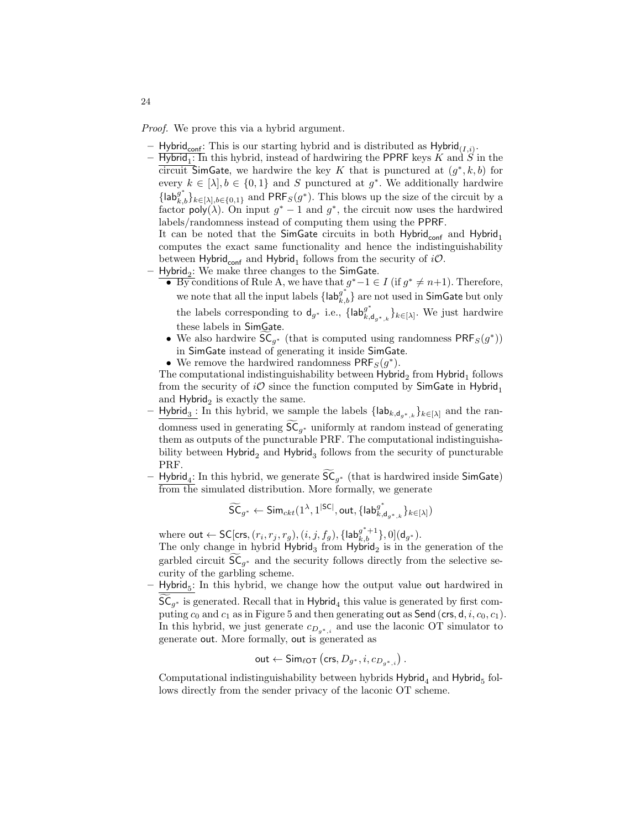Proof. We prove this via a hybrid argument.

- Hybrid<sub>conf</sub>: This is our starting hybrid and is distributed as  $\mathsf{Hybrid}_{(I,i)}$ .
- $-$  Hybrid<sub>1</sub>: In this hybrid, instead of hardwiring the PPRF keys K and S in the circuit SimGate, we hardwire the key K that is punctured at  $(g^*, k, b)$  for every  $k \in [\lambda], b \in \{0,1\}$  and S punctured at  $g^*$ . We additionally hardwire  $\{\mathsf{lab}_{k,b}^{g^*}\}_{k\in\{\lambda\},b\in\{0,1\}}$  and PRF<sub>S</sub> $(g^*)$ . This blows up the size of the circuit by a factor poly( $\lambda$ ). On input  $g^* - 1$  and  $g^*$ , the circuit now uses the hardwired labels/randomness instead of computing them using the PPRF.
	- It can be noted that the SimGate circuits in both Hybrid<sub>conf</sub> and Hybrid<sub>1</sub> computes the exact same functionality and hence the indistinguishability between Hybrid<sub>conf</sub> and Hybrid<sub>1</sub> follows from the security of  $i\mathcal{O}$ .
- $-$  Hybrid<sub>2</sub>: We make three changes to the SimGate.
	- $\overline{\bullet}$  By conditions of Rule A, we have that  $g^*$  –1  $\in I$  (if  $g^* \neq n+1$ ). Therefore, we note that all the input labels  $\{ \mathsf{lab}^{g^*}_{k,b} \}$  are not used in SimGate but only the labels corresponding to  $d_{g^*}$  i.e., {lab $g_{k,q}^{g^*}$  $_{k,\mathsf{d}_{g^*,k}}^g\}_{k\in[\lambda]}$ . We just hardwire these labels in SimGate.
	- We also hardwire  $SC_{g^*}$  (that is computed using randomness PRF<sub>S</sub> $(g^*)$ ) in SimGate instead of generating it inside SimGate.
	- We remove the hardwired randomness  $PRF_S(g^*)$ .

The computational indistinguishability between  $\mathsf{Hybrid}_2$  from  $\mathsf{Hybrid}_1$  follows from the security of  $i\mathcal{O}$  since the function computed by SimGate in Hybrid<sub>1</sub> and  $Hybrid<sub>2</sub>$  is exactly the same.

- $-$  Hybrid<sub>3</sub>: In this hybrid, we sample the labels  $\{\mathsf{lab}_{k,d_{g^*,k}}\}_{k\in[\lambda]}$  and the randomness used in generating  $SC_{g^*}$  uniformly at random instead of generating them as outputs of the puncturable PRF. The computational indistinguishability between  $Hybrid<sub>2</sub>$  and  $Hybrid<sub>3</sub>$  follows from the security of puncturable PRF.
- $-$  Hybrid<sub>4</sub>: In this hybrid, we generate  $SC_{g^*}$  (that is hardwired inside SimGate) from the simulated distribution. More formally, we generate

$$
\widetilde{\mathsf{SC}}_{g^*}\leftarrow \mathsf{Sim}_{ckt}(1^\lambda,1^{|\mathsf{SC}|},\mathsf{out},\{\mathsf{lab}^{g^*}_{k,\mathsf{d}_{g^*,k}}\}_{k\in[\lambda]})
$$

where out  $\leftarrow \mathsf{SC}[\mathsf{crs}, (r_i, r_j, r_g), (i, j, f_g), \{\mathsf{lab}^{g^*+1}_{k,b}\}, 0](\mathsf{d}_{g^*}).$ 

The only change in hybrid  $Hybrid<sub>3</sub>$  from  $Hybrid<sub>2</sub>$  is in the generation of the garbled circuit  $\mathsf{SC}_{g^*}$  and the security follows directly from the selective security of the garbling scheme.

- Hybrid<sub>5</sub>: In this hybrid, we change how the output value out hardwired in  $SC_{g^*}$  is generated. Recall that in Hybrid<sub>4</sub> this value is generated by first computing  $c_0$  and  $c_1$  as in Figure 5 and then generating out as Send (crs, d, i,  $c_0$ ,  $c_1$ ). In this hybrid, we just generate  $c_{D_q^*,i}$  and use the laconic OT simulator to generate out. More formally, out is generated as

$$
\mathsf{out} \leftarrow \mathsf{Sim}_{\ell \mathsf{OT}}\left(\mathsf{crs}, D_{g^*}, i, c_{D_{g^*, i}}\right).
$$

Computational indistinguishability between hybrids  $\text{Hybrid}_4$  and  $\text{Hybrid}_5$  follows directly from the sender privacy of the laconic OT scheme.

24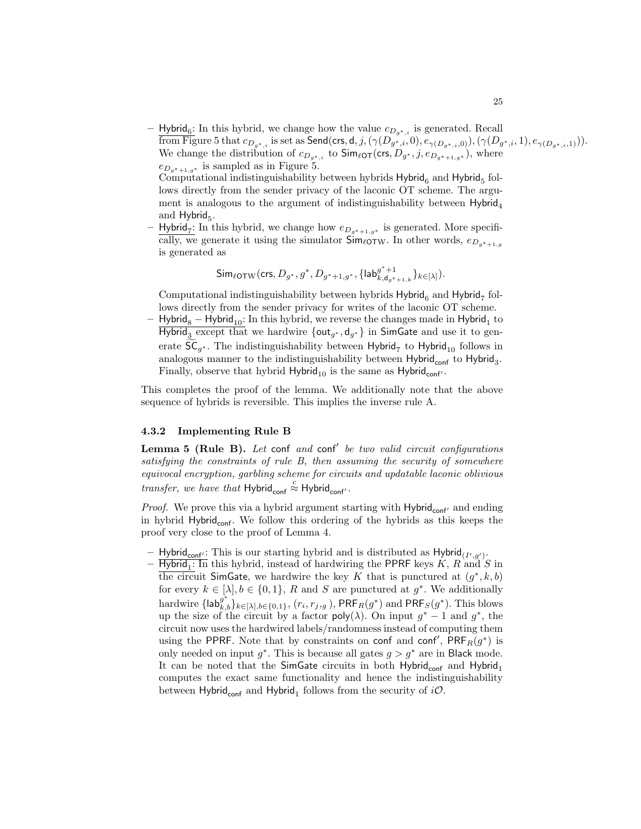$-$  Hybrid<sub>6</sub>: In this hybrid, we change how the value  $c_{D_{g^*,i}}$  is generated. Recall from Figure 5 that  $c_{D_{g^*,i}}$  is set as  $\mathsf{Send}(\mathsf{crs},\mathsf{d},j,(\gamma(D_{g^*,i},0),e_{\gamma(D_{g^*,i},0})),(\gamma(D_{g^*,i},1),e_{\gamma(D_{g^*,i},1)})).$ We change the distribution of  $c_{D_{g^*,i}}$  to  $\mathsf{Sim}_{\ell \circ \mathsf{OT}}(\mathsf{crs}, D_{g^*}, j, e_{D_{g^*+1,g^*}})$ , where  $e_{D_{a^*+1,a^*}}$  is sampled as in Figure 5. Computational indistinguishability between hybrids  $\text{Hybrid}_6$  and  $\text{Hybrid}_5$  fol-

lows directly from the sender privacy of the laconic OT scheme. The argument is analogous to the argument of indistinguishability between  $Hybrid<sub>4</sub>$ and  $Hybrid_5$ .

- Hybrid<sub>7</sub>: In this hybrid, we change how  $e_{D_{g^*+1,g^*}}$  is generated. More specifically, we generate it using the simulator  $\mathsf{Sim}_{\ell OTW}$ . In other words,  $e_{D_q^*+1,q}$ is generated as

$$
\textsf{Sim}_{\ell\textsf{OTW}}(\textsf{crs},D_{g^*},g^*,D_{g^*+1,g^*},\{\textsf{lab}^{g^*+1}_{k,\mathbf{d}_{g^*+1,k}}\}_{k\in[\lambda]}).
$$

Computational indistinguishability between hybrids  $\mathsf{Hybrid}_6$  and  $\mathsf{Hybrid}_7$  follows directly from the sender privacy for writes of the laconic OT scheme.

 $-$  Hybrid<sub>8</sub>  $-$  Hybrid<sub>10</sub>: In this hybrid, we reverse the changes made in Hybrid<sub>1</sub> to Hybrid<sub>3</sub> except that we hardwire  $\{\textsf{out}_{g^*}, \textsf{d}_{g^*}\}\$  in SimGate and use it to generate  $SC_{g^*}$ . The indistinguishability between  $H$ ybrid<sub>7</sub> to  $H$ ybrid<sub>10</sub> follows in analogous manner to the indistinguishability between  $\mathsf{Hybrid}_{\mathsf{conf}}$  to  $\mathsf{Hybrid}_{3}$ . Finally, observe that hybrid  $Hybrid_{10}$  is the same as Hybrid<sub>conf</sub>.

This completes the proof of the lemma. We additionally note that the above sequence of hybrids is reversible. This implies the inverse rule A.

### 4.3.2 Implementing Rule B

Lemma 5 (Rule B). Let conf and conf' be two valid circuit configurations satisfying the constraints of rule B, then assuming the security of somewhere equivocal encryption, garbling scheme for circuits and updatable laconic oblivious transfer, we have that  $H$ ybrid<sub>conf</sub><sup>c</sup>  $\stackrel{c}{\approx}$  Hybrid<sub>conf</sub><sup>'</sup>.

*Proof.* We prove this via a hybrid argument starting with  $Hybrid<sub>conf'</sub>$  and ending in hybrid Hybrid<sub>conf</sub>. We follow this ordering of the hybrids as this keeps the proof very close to the proof of Lemma 4.

- Hybrid<sub>conf'</sub>: This is our starting hybrid and is distributed as Hybrid<sub>(I',g')</sub>.
- $-$  Hybrid<sub>1</sub>: In this hybrid, instead of hardwiring the PPRF keys K, R and S in the circuit SimGate, we hardwire the key K that is punctured at  $(g^*, k, b)$ for every  $k \in [\lambda], b \in \{0,1\}, R$  and S are punctured at  $g^*$ . We additionally hardwire  $\{\mathsf{lab}_{k,b}^{g^*}\}_{k\in[\lambda],b\in\{0,1\}}, (r_i,r_{j,g}),\mathsf{PRF}_R(g^*)$  and  $\mathsf{PRF}_S(g^*)$ . This blows up the size of the circuit by a factor  $\text{poly}(\lambda)$ . On input  $g^* - 1$  and  $g^*$ , the circuit now uses the hardwired labels/randomness instead of computing them using the PPRF. Note that by constraints on conf and conf',  $\overline{PRF_R(g^*)}$  is only needed on input  $g^*$ . This is because all gates  $g > g^*$  are in Black mode. It can be noted that the SimGate circuits in both Hybrid<sub>conf</sub> and Hybrid<sub>1</sub> computes the exact same functionality and hence the indistinguishability between Hybrid<sub>conf</sub> and Hybrid<sub>1</sub> follows from the security of  $i\mathcal{O}$ .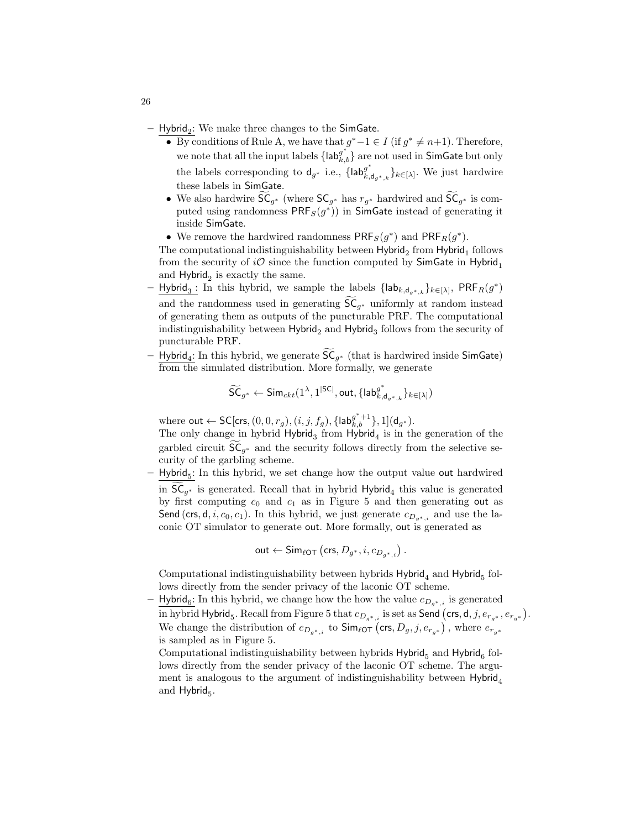$-$  Hybrid<sub>2</sub>: We make three changes to the SimGate.

- By conditions of Rule A, we have that  $g^* 1 \in I$  (if  $g^* \neq n+1$ ). Therefore, we note that all the input labels  $\{ \mathsf{lab}^{g^*}_{k,b} \}$  are not used in SimGate but only the labels corresponding to  $d_{g^*}$  i.e., {lab $g_{k,d}^{g^*}$  $_{k,\mathsf{d}_{g^*,k}}^g\}_{k\in[\lambda]}$ . We just hardwire these labels in SimGate.
- We also hardwire  $SC_{g^*}$  (where  $SC_{g^*}$  has  $r_{g^*}$  hardwired and  $SC_{g^*}$  is computed using randomness  $PRF_S(g^*)$  in SimGate instead of generating it inside SimGate.
- We remove the hardwired randomness  $PRF_S(g^*)$  and  $PRF_R(g^*)$ .

The computational indistinguishability between  $\mathsf{Hybrid}_2$  from  $\mathsf{Hybrid}_1$  follows from the security of  $i\mathcal{O}$  since the function computed by SimGate in Hybrid<sub>1</sub> and  $Hybrid<sub>2</sub>$  is exactly the same.

- Hybrid<sub>3</sub>: In this hybrid, we sample the labels  $\{\mathsf{lab}_{k,d_{g^*,k}}\}_{k\in[\lambda]},\ \mathsf{PRF}_R(g^*)$ and the randomness used in generating  $SC_{g^*}$  uniformly at random instead of generating them as outputs of the puncturable PRF. The computational indistinguishability between  $\mathsf{Hybrid}_2$  and  $\mathsf{Hybrid}_3$  follows from the security of puncturable PRF.
- $-$  Hybrid<sub>4</sub>: In this hybrid, we generate  $SC_{g^*}$  (that is hardwired inside SimGate) from the simulated distribution. More formally, we generate

$$
\widetilde{\mathsf{SC}}_{g^*}\leftarrow \mathsf{Sim}_{ckt}(1^\lambda,1^{|\mathsf{SC}|},\mathsf{out},\{\mathsf{lab}^{g^*}_{k,\mathsf{d}_{g^*,k}}\}_{k\in[\lambda]})
$$

where  $\mathsf{out} \leftarrow \mathsf{SC}[\mathsf{crs}, (0, 0, r_g), (i, j, f_g), \{\mathsf{lab}^{g^*+1}_{k, b}\}, 1](\mathsf{d}_{g^*}).$ 

The only change in hybrid  $Hybrid<sub>3</sub>$  from  $Hybrid<sub>4</sub>$  is in the generation of the garbled circuit  $\mathsf{SC}_{g^*}$  and the security follows directly from the selective security of the garbling scheme.

 $-$  Hybrid<sub>5</sub>: In this hybrid, we set change how the output value out hardwired in  $SC_{g^*}$  is generated. Recall that in hybrid Hybrid<sub>4</sub> this value is generated by first computing  $c_0$  and  $c_1$  as in Figure 5 and then generating out as Send (crs, d, i, c<sub>0</sub>, c<sub>1</sub>). In this hybrid, we just generate  $c_{D_{q^*,i}}$  and use the laconic OT simulator to generate out. More formally, out is generated as

$$
\mathsf{out} \gets \mathsf{Sim}_{\ell \mathsf{OT}}\left(\mathsf{crs}, D_{g^*}, i, c_{D_{g^*, i}}\right).
$$

Computational indistinguishability between hybrids  $\mathsf{Hybrid}_{4}$  and  $\mathsf{Hybrid}_{5}$  follows directly from the sender privacy of the laconic OT scheme.

 $-$  Hybrid<sub>6</sub>: In this hybrid, we change how the how the value  $c_{D_{g^*,i}}$  is generated in hybrid  $\textsf{Hybrid}_5\textsf{.}\ \textsf{Recall}$  from Figure 5 that  $c_{D_{g^*,i}}$  is set as <code>Send</code> (crs, d,  $j, e_{r_{g^*}}, e_{r_{g^*}}\textsf{)}.$ We change the distribution of  $c_{D_{g^*,i}}$  to  $\mathsf{Sim}_{\ell \mathsf{OT}}\left(\mathsf{crs}, D_g, j, e_{r_{g^*}}\right)$ , where  $e_{r_{g^*}}$ is sampled as in Figure 5.

Computational indistinguishability between hybrids  $\text{Hybrid}_5$  and  $\text{Hybrid}_6$  follows directly from the sender privacy of the laconic OT scheme. The argument is analogous to the argument of indistinguishability between  $Hybrid<sub>4</sub>$ and  $Hybrid_5$ .

26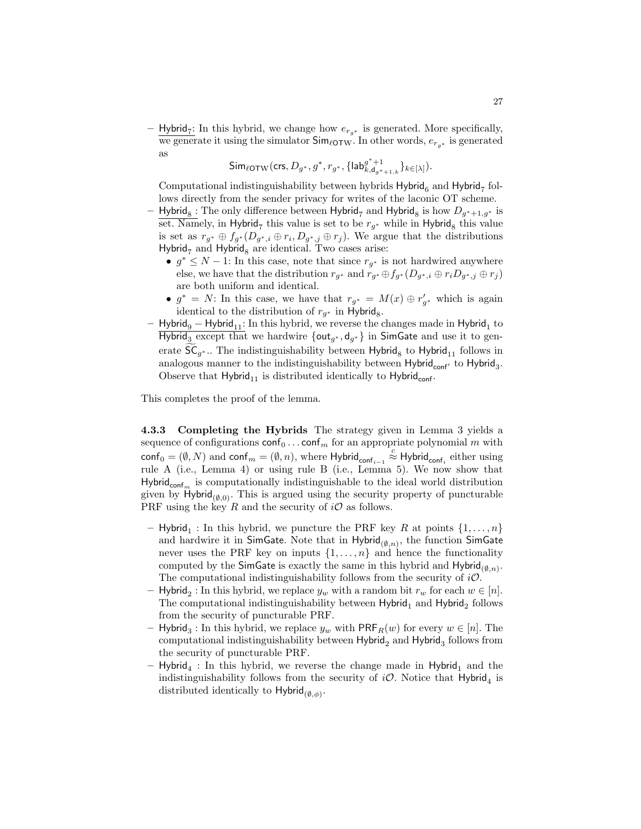– Hybrid<sub>7</sub>: In this hybrid, we change how  $e_{r_g*}$  is generated. More specifically, we generate it using the simulator  $\mathsf{Sim}_{\ell \text{OTW}}$ . In other words,  $e_{r_{\sigma^*}}$  is generated as

$$
\textsf{Sim}_{\ell\textsf{OTW}}(\textsf{crs},D_{g^*},g^*,r_{g^*},\{\textsf{lab}^{g^*+1}_{k,\mathsf{d}_{g^*+1,k}}\}_{k\in[\lambda]}).
$$

Computational indistinguishability between hybrids  $\mathsf{Hybrid}_6$  and  $\mathsf{Hybrid}_7$  follows directly from the sender privacy for writes of the laconic OT scheme.

- − Hybrid<sub>8</sub> : The only difference between Hybrid<sub>7</sub> and Hybrid<sub>8</sub> is how  $D_{g^*+1,g^*}$  is set. Namely, in Hybrid<sub>7</sub> this value is set to be  $r_{g^*}$  while in Hybrid<sub>8</sub> this value is set as  $r_{g^*} \oplus f_{g^*}(D_{g^*,i} \oplus r_i, D_{g^*,j} \oplus r_j)$ . We argue that the distributions Hybrid<sub>7</sub> and Hybrid<sub>8</sub> are identical. Two cases arise:
	- $g^* \leq N 1$ : In this case, note that since  $r_{g^*}$  is not hardwired anywhere else, we have that the distribution  $r_{g^*}$  and  $r_{g^*} \oplus f_{g^*} (D_{g^*,i} \oplus r_i D_{g^*,j} \oplus r_j)$ are both uniform and identical.
	- $g^* = N$ : In this case, we have that  $r_{g^*} = M(x) \oplus r'_{g^*}$  which is again identical to the distribution of  $r_{g^*}$  in Hybrid<sub>8</sub>.
- $-$  Hybrid<sub>9</sub>  $-$  Hybrid<sub>11</sub>: In this hybrid, we reverse the changes made in Hybrid<sub>1</sub> to Hybrid<sub>3</sub> except that we hardwire  $\{\textsf{out}_{g^*}, \textsf{d}_{g^*}\}\$  in SimGate and use it to generate  $SC_{g^*}$ .. The indistinguishability between  $H$ ybrid<sub>8</sub> to  $H$ ybrid<sub>11</sub> follows in analogous manner to the indistinguishability between  $\mathsf{Hybrid}_{\mathsf{conf}'}$  to  $\mathsf{Hybrid}_{3}$ . Observe that  $Hybrid_{11}$  is distributed identically to Hybrid<sub>conf</sub>.

This completes the proof of the lemma.

4.3.3 Completing the Hybrids The strategy given in Lemma 3 yields a sequence of configurations  $\mathsf{conf}_0 \ldots \mathsf{conf}_m$  for an appropriate polynomial  $m$  with conf<sub>0</sub> =  $(\emptyset, N)$  and conf<sub>m</sub> =  $(\emptyset, n)$ , where Hybrid<sub>conf<sub>i</sub>-1</sub><sup>c</sup> Hybrid<sub>conf<sub>i</sub></sub> either using rule A (i.e., Lemma 4) or using rule B (i.e., Lemma 5). We now show that  $\mathsf{Hybrid}_{\mathsf{conf}_m}$  is computationally indistinguishable to the ideal world distribution given by Hybrid<sub> $(\emptyset,0)$ </sub>. This is argued using the security property of puncturable PRF using the key R and the security of  $i\mathcal{O}$  as follows.

- $-$  Hybrid<sub>1</sub>: In this hybrid, we puncture the PRF key R at points  $\{1, \ldots, n\}$ and hardwire it in SimGate. Note that in  $\mathsf{Hybrid}_{(\emptyset,n)},$  the function SimGate never uses the PRF key on inputs  $\{1, \ldots, n\}$  and hence the functionality computed by the SimGate is exactly the same in this hybrid and  $\mathsf{Hybrid}_{(\emptyset,n)}$ . The computational indistinguishability follows from the security of  $i\mathcal{O}$ .
- Hybrid<sub>2</sub>: In this hybrid, we replace  $y_w$  with a random bit  $r_w$  for each  $w \in [n]$ . The computational indistinguishability between  $\mathsf{Hybrid}_1$  and  $\mathsf{Hybrid}_2$  follows from the security of puncturable PRF.
- $-$  Hybrid<sub>3</sub>: In this hybrid, we replace  $y_w$  with  $\mathsf{PRF}_R(w)$  for every  $w \in [n]$ . The computational indistinguishability between  $\mathsf{Hybrid}_2$  and  $\mathsf{Hybrid}_3$  follows from the security of puncturable PRF.
- $-$  Hybrid<sub>4</sub>: In this hybrid, we reverse the change made in Hybrid<sub>1</sub> and the indistinguishability follows from the security of  $i\mathcal{O}$ . Notice that  $\mathsf{Hybrid}_4$  is distributed identically to  $H$ ybrid $_{(\emptyset,\phi)}$ .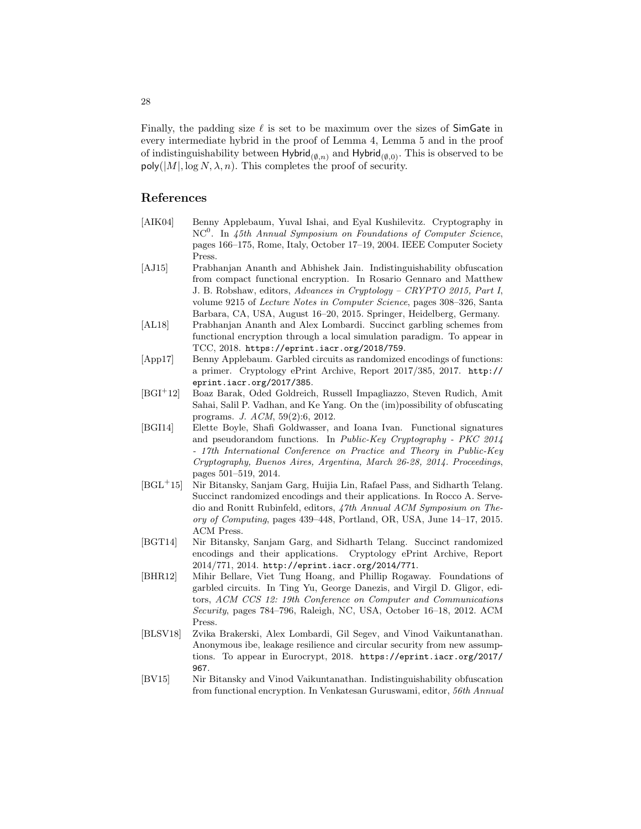Finally, the padding size  $\ell$  is set to be maximum over the sizes of SimGate in every intermediate hybrid in the proof of Lemma 4, Lemma 5 and in the proof of indistinguishability between Hybrid<sub>( $(\emptyset, n)$ </sub> and Hybrid<sub>( $(\emptyset, 0)$ </sub>). This is observed to be  $\mathsf{poly}(|M|, \log N, \lambda, n)$ . This completes the proof of security.

# References

- [AIK04] Benny Applebaum, Yuval Ishai, and Eyal Kushilevitz. Cryptography in NC<sup>0</sup>. In 45th Annual Symposium on Foundations of Computer Science, pages 166–175, Rome, Italy, October 17–19, 2004. IEEE Computer Society Press.
- [AJ15] Prabhanjan Ananth and Abhishek Jain. Indistinguishability obfuscation from compact functional encryption. In Rosario Gennaro and Matthew J. B. Robshaw, editors, Advances in Cryptology – CRYPTO 2015, Part I, volume 9215 of Lecture Notes in Computer Science, pages 308–326, Santa Barbara, CA, USA, August 16–20, 2015. Springer, Heidelberg, Germany.
- [AL18] Prabhanjan Ananth and Alex Lombardi. Succinct garbling schemes from functional encryption through a local simulation paradigm. To appear in TCC, 2018. https://eprint.iacr.org/2018/759.
- [App17] Benny Applebaum. Garbled circuits as randomized encodings of functions: a primer. Cryptology ePrint Archive, Report 2017/385, 2017. http:// eprint.iacr.org/2017/385.
- [BGI<sup>+</sup>12] Boaz Barak, Oded Goldreich, Russell Impagliazzo, Steven Rudich, Amit Sahai, Salil P. Vadhan, and Ke Yang. On the (im)possibility of obfuscating programs. J. ACM, 59(2):6, 2012.
- [BGI14] Elette Boyle, Shafi Goldwasser, and Ioana Ivan. Functional signatures and pseudorandom functions. In Public-Key Cryptography - PKC 2014 - 17th International Conference on Practice and Theory in Public-Key Cryptography, Buenos Aires, Argentina, March 26-28, 2014. Proceedings, pages 501–519, 2014.
- [BGL<sup>+</sup>15] Nir Bitansky, Sanjam Garg, Huijia Lin, Rafael Pass, and Sidharth Telang. Succinct randomized encodings and their applications. In Rocco A. Servedio and Ronitt Rubinfeld, editors, 47th Annual ACM Symposium on Theory of Computing, pages 439–448, Portland, OR, USA, June 14–17, 2015. ACM Press.
- [BGT14] Nir Bitansky, Sanjam Garg, and Sidharth Telang. Succinct randomized encodings and their applications. Cryptology ePrint Archive, Report 2014/771, 2014. http://eprint.iacr.org/2014/771.
- [BHR12] Mihir Bellare, Viet Tung Hoang, and Phillip Rogaway. Foundations of garbled circuits. In Ting Yu, George Danezis, and Virgil D. Gligor, editors, ACM CCS 12: 19th Conference on Computer and Communications Security, pages 784–796, Raleigh, NC, USA, October 16–18, 2012. ACM Press.
- [BLSV18] Zvika Brakerski, Alex Lombardi, Gil Segev, and Vinod Vaikuntanathan. Anonymous ibe, leakage resilience and circular security from new assumptions. To appear in Eurocrypt, 2018. https://eprint.iacr.org/2017/ 967.
- [BV15] Nir Bitansky and Vinod Vaikuntanathan. Indistinguishability obfuscation from functional encryption. In Venkatesan Guruswami, editor, 56th Annual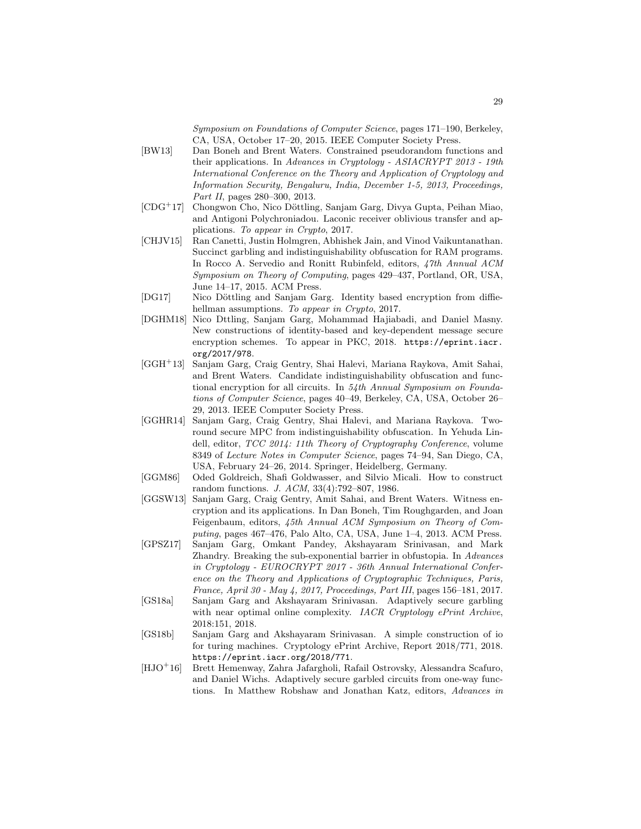Symposium on Foundations of Computer Science, pages 171–190, Berkeley, CA, USA, October 17–20, 2015. IEEE Computer Society Press.

- [BW13] Dan Boneh and Brent Waters. Constrained pseudorandom functions and their applications. In Advances in Cryptology - ASIACRYPT 2013 - 19th International Conference on the Theory and Application of Cryptology and Information Security, Bengaluru, India, December 1-5, 2013, Proceedings, Part II, pages 280–300, 2013.
- $[CDG^+17]$  Chongwon Cho, Nico Döttling, Sanjam Garg, Divya Gupta, Peihan Miao, and Antigoni Polychroniadou. Laconic receiver oblivious transfer and applications. To appear in Crypto, 2017.
- [CHJV15] Ran Canetti, Justin Holmgren, Abhishek Jain, and Vinod Vaikuntanathan. Succinct garbling and indistinguishability obfuscation for RAM programs. In Rocco A. Servedio and Ronitt Rubinfeld, editors, 47th Annual ACM Symposium on Theory of Computing, pages 429–437, Portland, OR, USA, June 14–17, 2015. ACM Press.
- [DG17] Nico Döttling and Sanjam Garg. Identity based encryption from diffiehellman assumptions. To appear in Crypto, 2017.
- [DGHM18] Nico Dttling, Sanjam Garg, Mohammad Hajiabadi, and Daniel Masny. New constructions of identity-based and key-dependent message secure encryption schemes. To appear in PKC, 2018. https://eprint.iacr. org/2017/978.
- [GGH<sup>+</sup>13] Sanjam Garg, Craig Gentry, Shai Halevi, Mariana Raykova, Amit Sahai, and Brent Waters. Candidate indistinguishability obfuscation and functional encryption for all circuits. In 54th Annual Symposium on Foundations of Computer Science, pages 40–49, Berkeley, CA, USA, October 26– 29, 2013. IEEE Computer Society Press.
- [GGHR14] Sanjam Garg, Craig Gentry, Shai Halevi, and Mariana Raykova. Tworound secure MPC from indistinguishability obfuscation. In Yehuda Lindell, editor, TCC 2014: 11th Theory of Cryptography Conference, volume 8349 of Lecture Notes in Computer Science, pages 74–94, San Diego, CA, USA, February 24–26, 2014. Springer, Heidelberg, Germany.
- [GGM86] Oded Goldreich, Shafi Goldwasser, and Silvio Micali. How to construct random functions. J. ACM, 33(4):792–807, 1986.
- [GGSW13] Sanjam Garg, Craig Gentry, Amit Sahai, and Brent Waters. Witness encryption and its applications. In Dan Boneh, Tim Roughgarden, and Joan Feigenbaum, editors, 45th Annual ACM Symposium on Theory of Computing, pages 467–476, Palo Alto, CA, USA, June 1–4, 2013. ACM Press.
- [GPSZ17] Sanjam Garg, Omkant Pandey, Akshayaram Srinivasan, and Mark Zhandry. Breaking the sub-exponential barrier in obfustopia. In Advances in Cryptology - EUROCRYPT 2017 - 36th Annual International Conference on the Theory and Applications of Cryptographic Techniques, Paris, France, April 30 - May 4, 2017, Proceedings, Part III, pages 156–181, 2017.
- [GS18a] Sanjam Garg and Akshayaram Srinivasan. Adaptively secure garbling with near optimal online complexity. *IACR Cryptology ePrint Archive*, 2018:151, 2018.
- [GS18b] Sanjam Garg and Akshayaram Srinivasan. A simple construction of io for turing machines. Cryptology ePrint Archive, Report 2018/771, 2018. https://eprint.iacr.org/2018/771.
- [HJO<sup>+</sup>16] Brett Hemenway, Zahra Jafargholi, Rafail Ostrovsky, Alessandra Scafuro, and Daniel Wichs. Adaptively secure garbled circuits from one-way functions. In Matthew Robshaw and Jonathan Katz, editors, Advances in